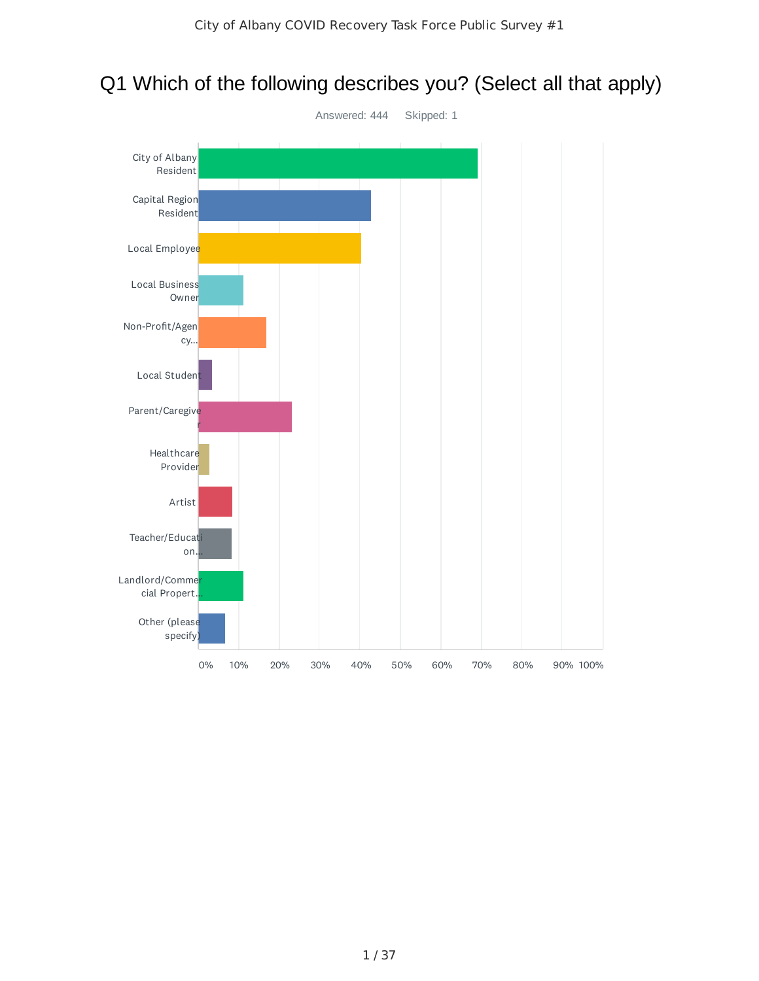

## Q1 Which of the following describes you? (Select all that apply)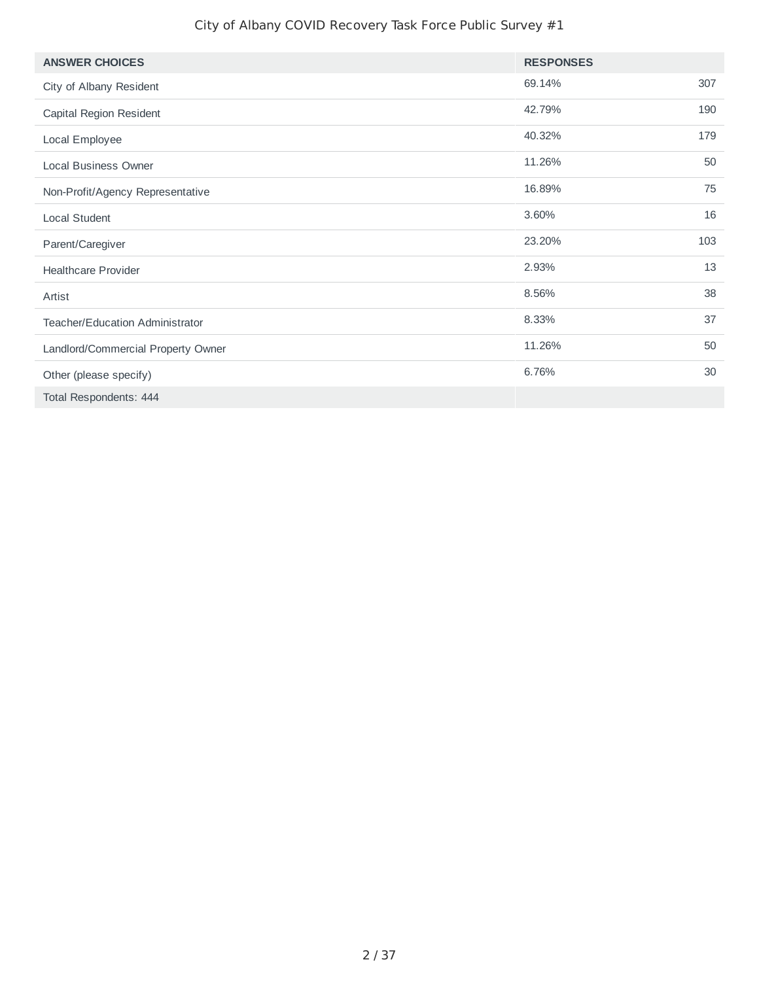| <b>ANSWER CHOICES</b>                  | <b>RESPONSES</b> |     |
|----------------------------------------|------------------|-----|
| City of Albany Resident                | 69.14%           | 307 |
| Capital Region Resident                | 42.79%           | 190 |
| Local Employee                         | 40.32%           | 179 |
| <b>Local Business Owner</b>            | 11.26%           | 50  |
| Non-Profit/Agency Representative       | 16.89%           | 75  |
| Local Student                          | 3.60%            | 16  |
| Parent/Caregiver                       | 23.20%           | 103 |
| <b>Healthcare Provider</b>             | 2.93%            | 13  |
| Artist                                 | 8.56%            | 38  |
| <b>Teacher/Education Administrator</b> | 8.33%            | 37  |
| Landlord/Commercial Property Owner     | 11.26%           | 50  |
| Other (please specify)                 | 6.76%            | 30  |
| Total Respondents: 444                 |                  |     |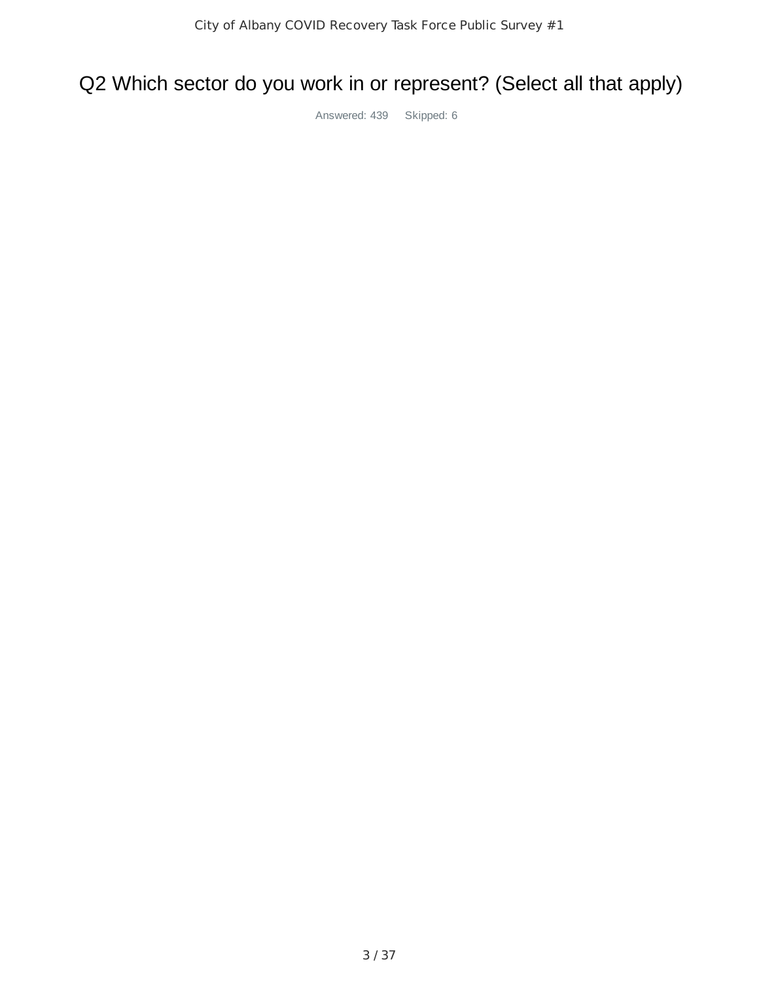## Q2 Which sector do you work in or represent? (Select all that apply)

Answered: 439 Skipped: 6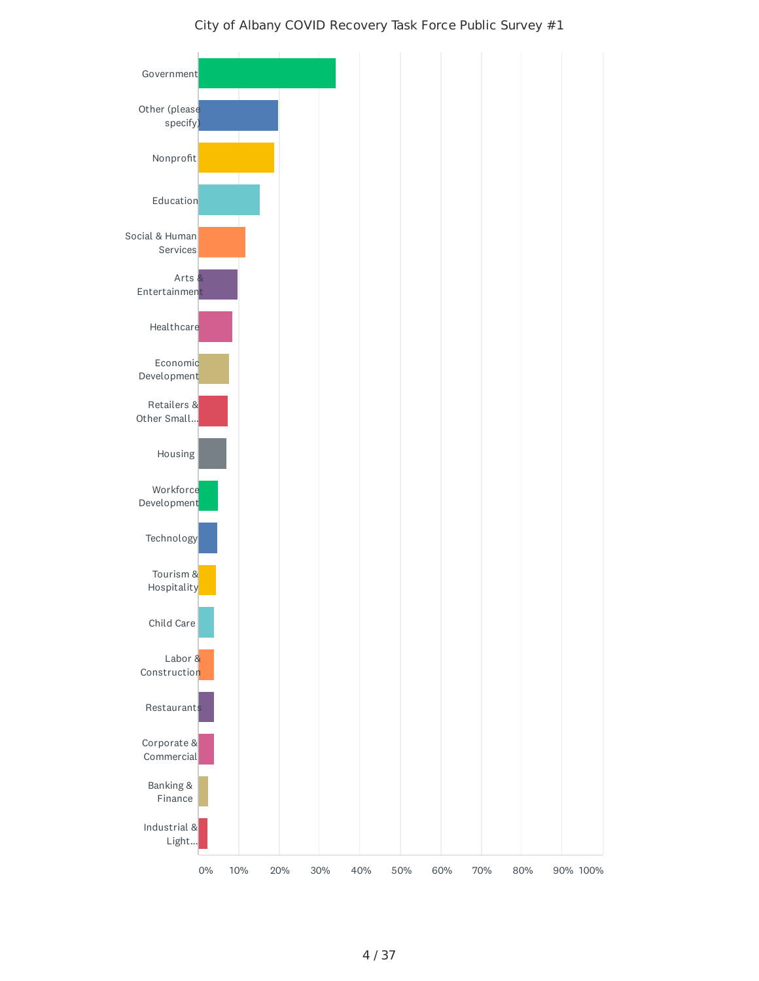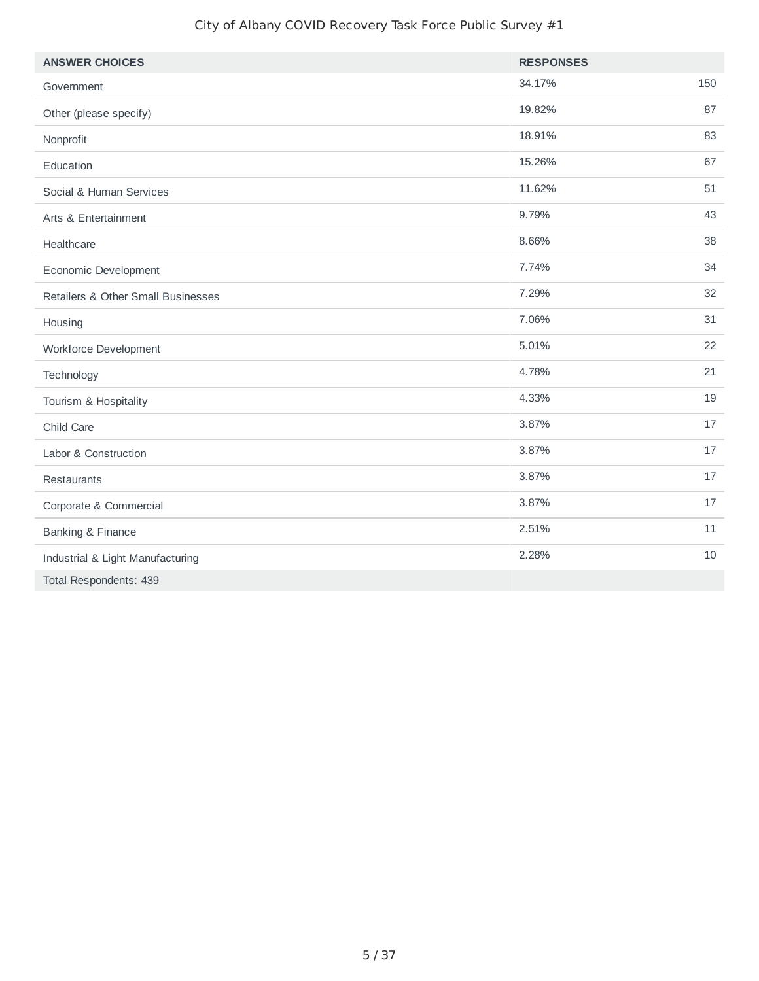| <b>ANSWER CHOICES</b>              | <b>RESPONSES</b> |     |
|------------------------------------|------------------|-----|
| Government                         | 34.17%           | 150 |
| Other (please specify)             | 19.82%           | 87  |
| Nonprofit                          | 18.91%           | 83  |
| Education                          | 15.26%           | 67  |
| Social & Human Services            | 11.62%           | 51  |
| Arts & Entertainment               | 9.79%            | 43  |
| Healthcare                         | 8.66%            | 38  |
| Economic Development               | 7.74%            | 34  |
| Retailers & Other Small Businesses | 7.29%            | 32  |
| Housing                            | 7.06%            | 31  |
| Workforce Development              | 5.01%            | 22  |
| Technology                         | 4.78%            | 21  |
| Tourism & Hospitality              | 4.33%            | 19  |
| Child Care                         | 3.87%            | 17  |
| Labor & Construction               | 3.87%            | 17  |
| Restaurants                        | 3.87%            | 17  |
| Corporate & Commercial             | 3.87%            | 17  |
| <b>Banking &amp; Finance</b>       | 2.51%            | 11  |
| Industrial & Light Manufacturing   | 2.28%            | 10  |
| Total Respondents: 439             |                  |     |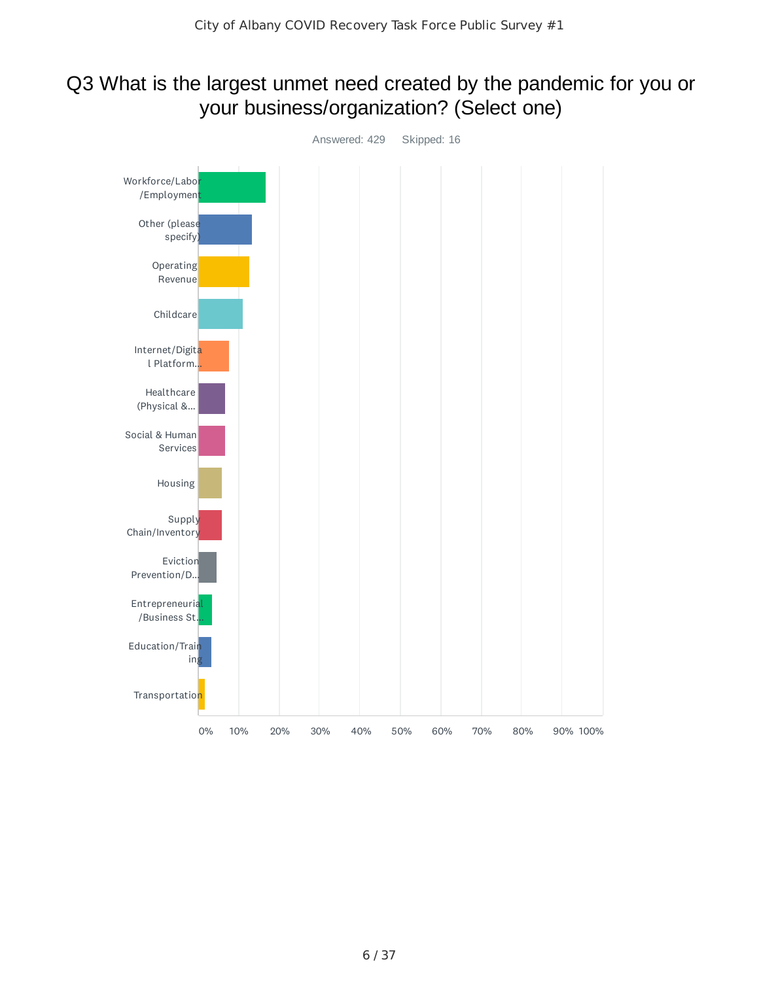## Q3 What is the largest unmet need created by the pandemic for you or your business/organization? (Select one)

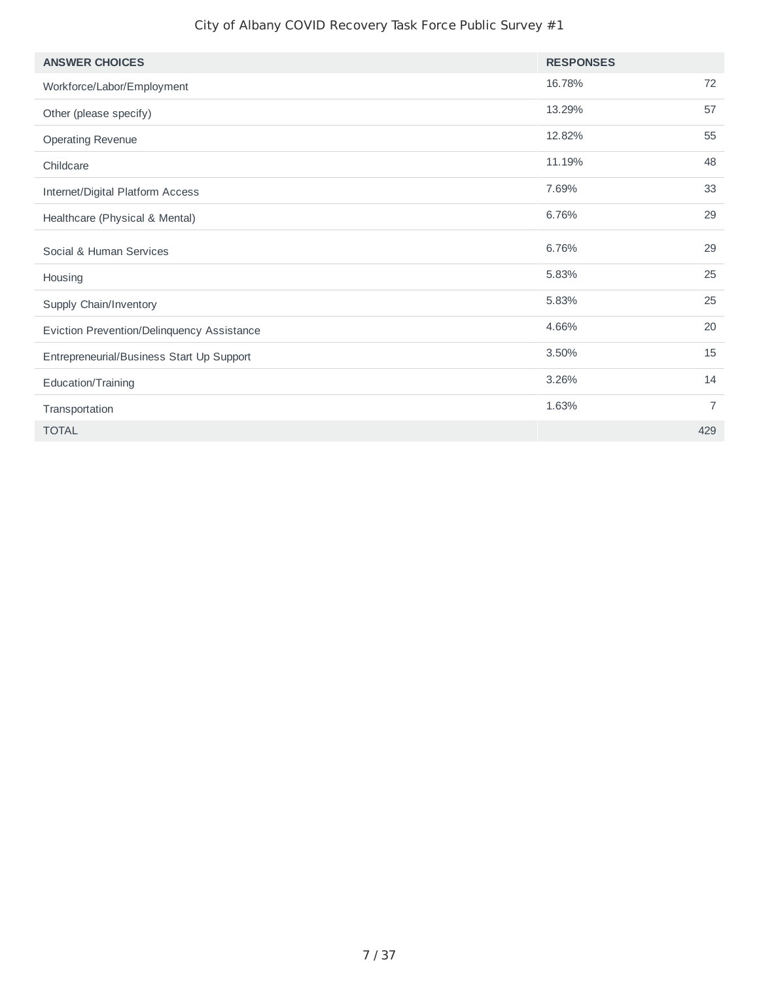| <b>ANSWER CHOICES</b>                      | <b>RESPONSES</b> |                |
|--------------------------------------------|------------------|----------------|
| Workforce/Labor/Employment                 | 16.78%           | 72             |
| Other (please specify)                     | 13.29%           | 57             |
| <b>Operating Revenue</b>                   | 12.82%           | 55             |
| Childcare                                  | 11.19%           | 48             |
| Internet/Digital Platform Access           | 7.69%            | 33             |
| Healthcare (Physical & Mental)             | 6.76%            | 29             |
| Social & Human Services                    | 6.76%            | 29             |
| Housing                                    | 5.83%            | 25             |
| Supply Chain/Inventory                     | 5.83%            | 25             |
| Eviction Prevention/Delinquency Assistance | 4.66%            | 20             |
| Entrepreneurial/Business Start Up Support  | 3.50%            | 15             |
| Education/Training                         | 3.26%            | 14             |
| Transportation                             | 1.63%            | $\overline{7}$ |
| <b>TOTAL</b>                               |                  | 429            |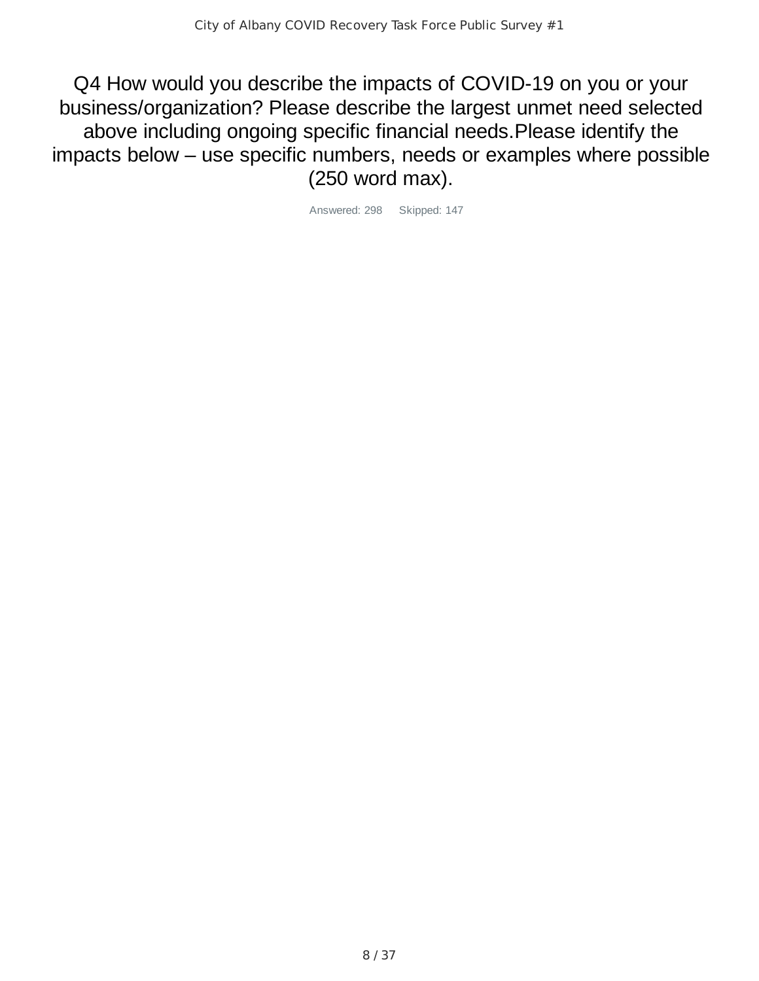Q4 How would you describe the impacts of COVID-19 on you or your business/organization? Please describe the largest unmet need selected above including ongoing specific financial needs.Please identify the impacts below – use specific numbers, needs or examples where possible (250 word max).

Answered: 298 Skipped: 147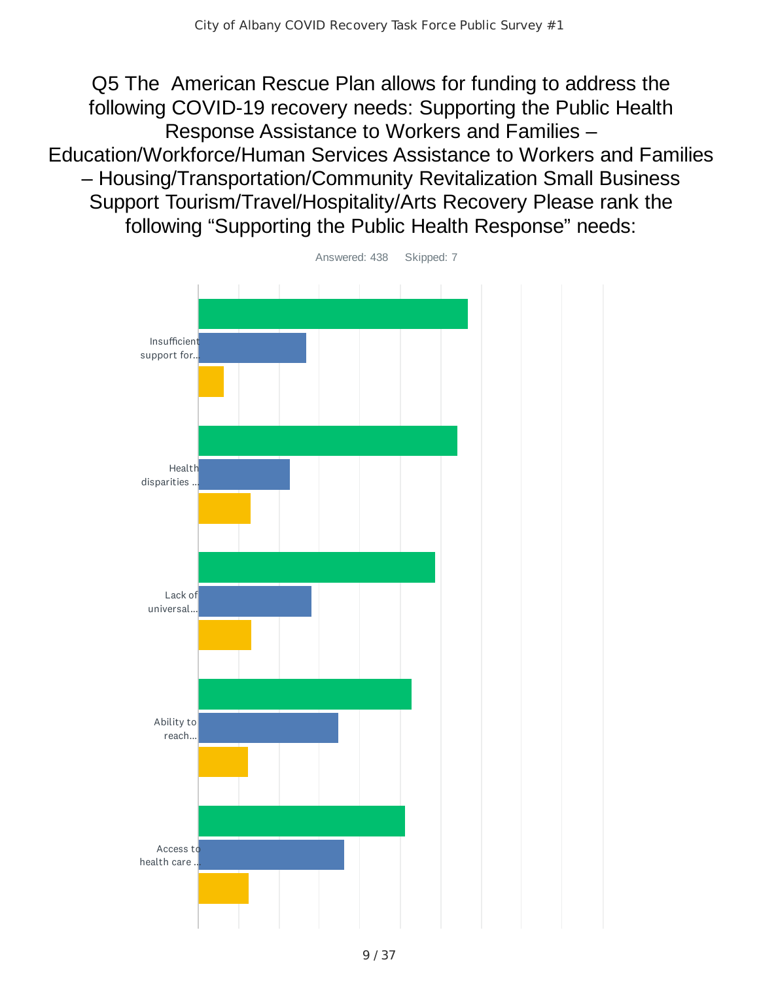Q5 The American Rescue Plan allows for funding to address the following COVID-19 recovery needs: Supporting the Public Health Response Assistance to Workers and Families – Education/Workforce/Human Services Assistance to Workers and Families – Housing/Transportation/Community Revitalization Small Business Support Tourism/Travel/Hospitality/Arts Recovery Please rank the following "Supporting the Public Health Response" needs:



Answered: 438 Skipped: 7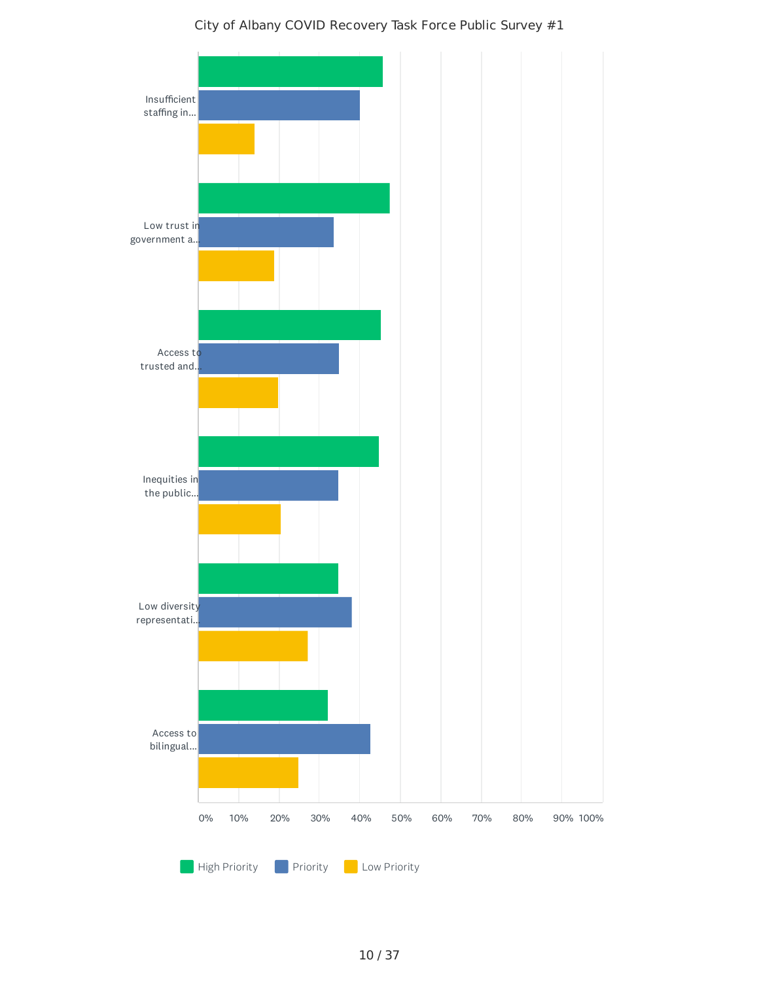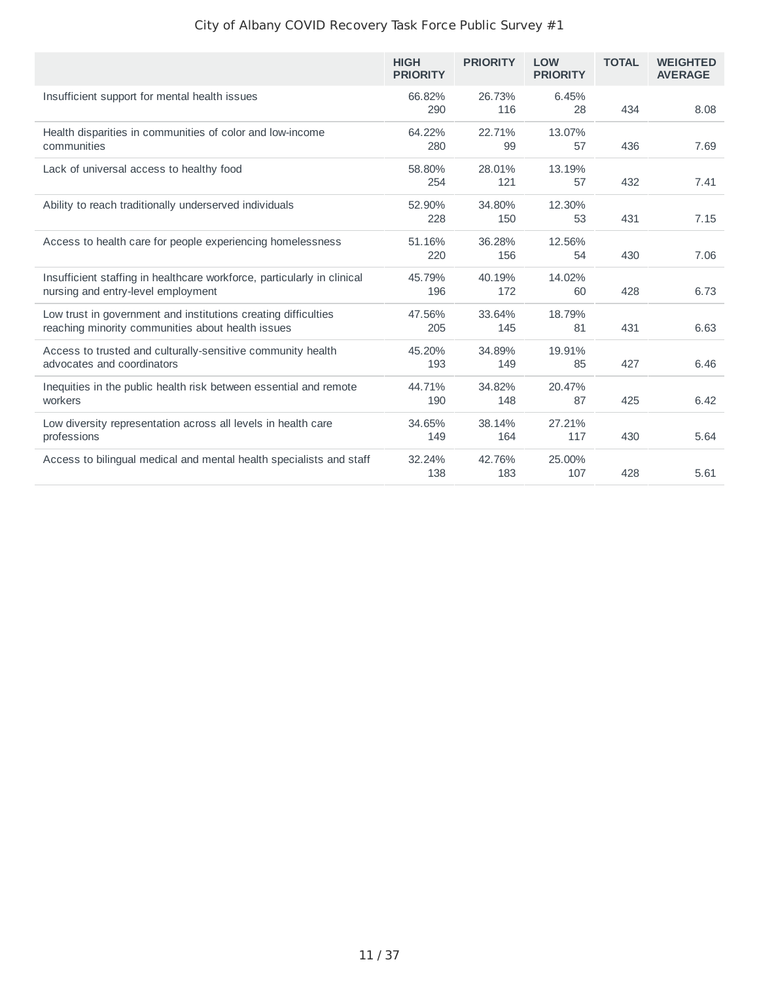|                                                                                                                     | <b>HIGH</b><br><b>PRIORITY</b> | <b>PRIORITY</b> | <b>LOW</b><br><b>PRIORITY</b> | <b>TOTAL</b> | <b>WEIGHTED</b><br><b>AVERAGE</b> |
|---------------------------------------------------------------------------------------------------------------------|--------------------------------|-----------------|-------------------------------|--------------|-----------------------------------|
| Insufficient support for mental health issues                                                                       | 66.82%<br>290                  | 26.73%<br>116   | 6.45%<br>28                   | 434          | 8.08                              |
| Health disparities in communities of color and low-income<br>communities                                            | 64.22%<br>280                  | 22.71%<br>99    | 13.07%<br>57                  | 436          | 7.69                              |
| Lack of universal access to healthy food                                                                            | 58.80%<br>254                  | 28.01%<br>121   | 13.19%<br>57                  | 432          | 7.41                              |
| Ability to reach traditionally underserved individuals                                                              | 52.90%<br>228                  | 34.80%<br>150   | 12.30%<br>53                  | 431          | 7.15                              |
| Access to health care for people experiencing homelessness                                                          | 51.16%<br>220                  | 36.28%<br>156   | 12.56%<br>54                  | 430          | 7.06                              |
| Insufficient staffing in healthcare workforce, particularly in clinical<br>nursing and entry-level employment       | 45.79%<br>196                  | 40.19%<br>172   | 14.02%<br>60                  | 428          | 6.73                              |
| Low trust in government and institutions creating difficulties<br>reaching minority communities about health issues | 47.56%<br>205                  | 33.64%<br>145   | 18.79%<br>81                  | 431          | 6.63                              |
| Access to trusted and culturally-sensitive community health<br>advocates and coordinators                           | 45.20%<br>193                  | 34.89%<br>149   | 19.91%<br>85                  | 427          | 6.46                              |
| Inequities in the public health risk between essential and remote<br>workers                                        | 44.71%<br>190                  | 34.82%<br>148   | 20.47%<br>87                  | 425          | 6.42                              |
| Low diversity representation across all levels in health care<br>professions                                        | 34.65%<br>149                  | 38.14%<br>164   | 27.21%<br>117                 | 430          | 5.64                              |
| Access to bilingual medical and mental health specialists and staff                                                 | 32.24%<br>138                  | 42.76%<br>183   | 25.00%<br>107                 | 428          | 5.61                              |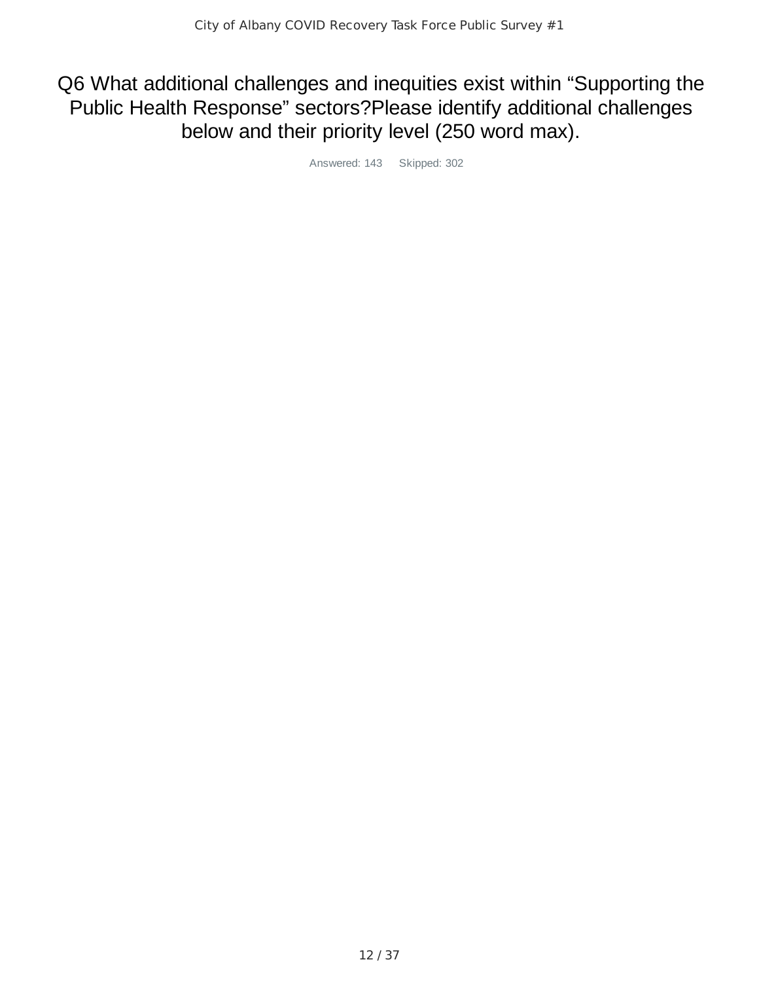## Q6 What additional challenges and inequities exist within "Supporting the Public Health Response" sectors?Please identify additional challenges below and their priority level (250 word max).

Answered: 143 Skipped: 302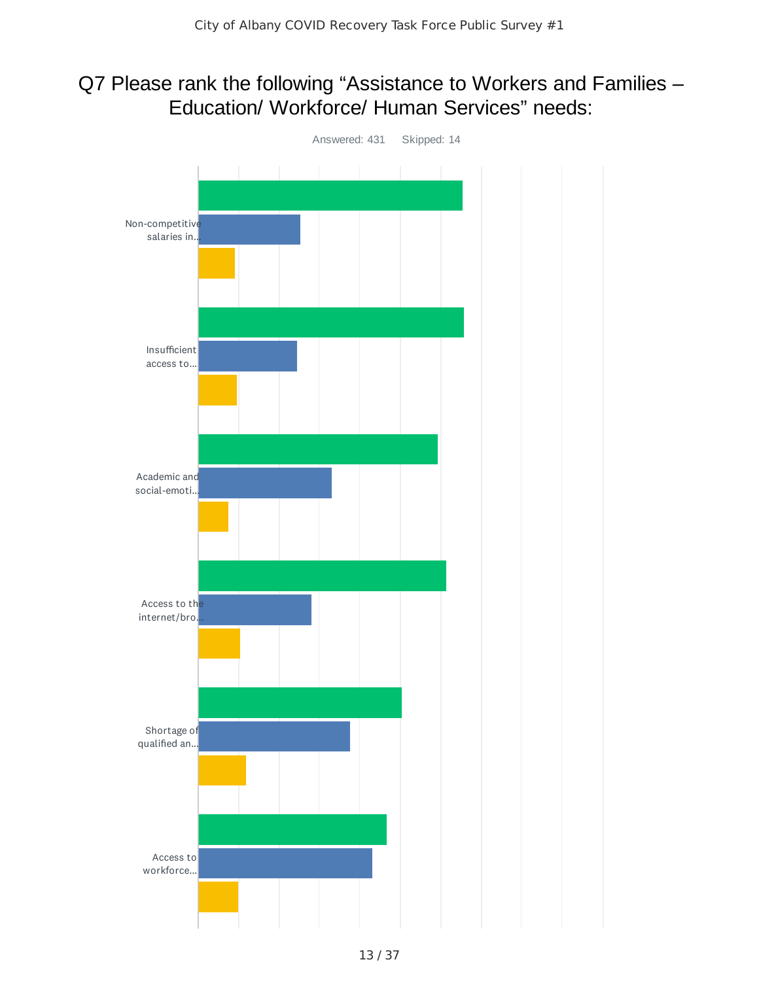## Q7 Please rank the following "Assistance to Workers and Families – Education/ Workforce/ Human Services" needs:

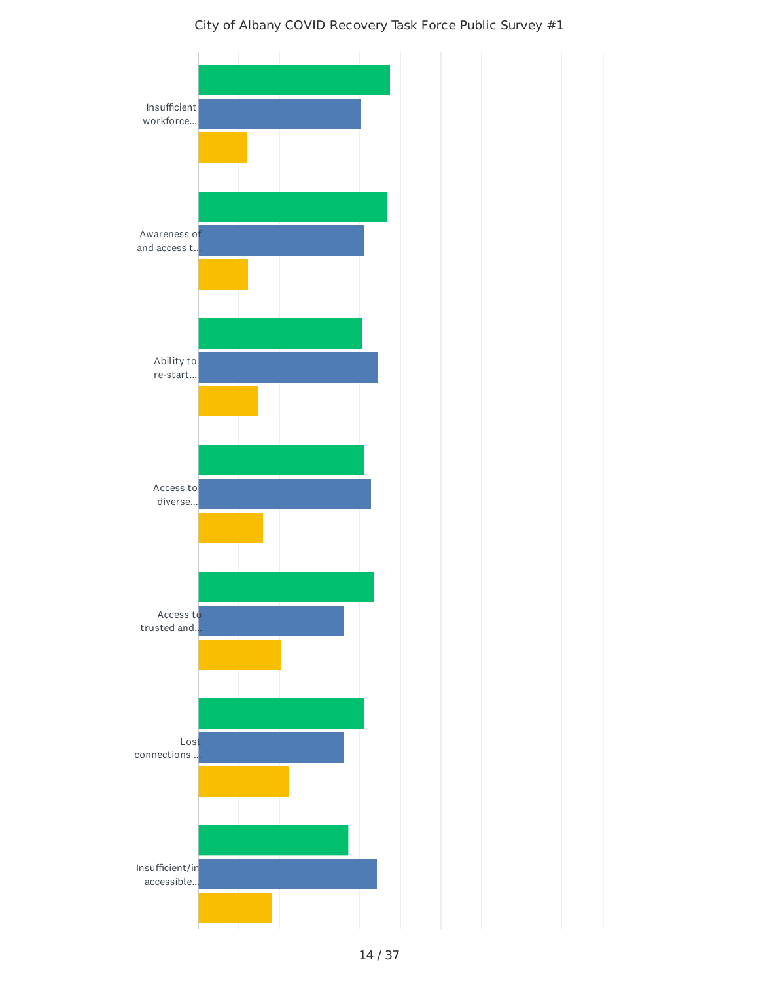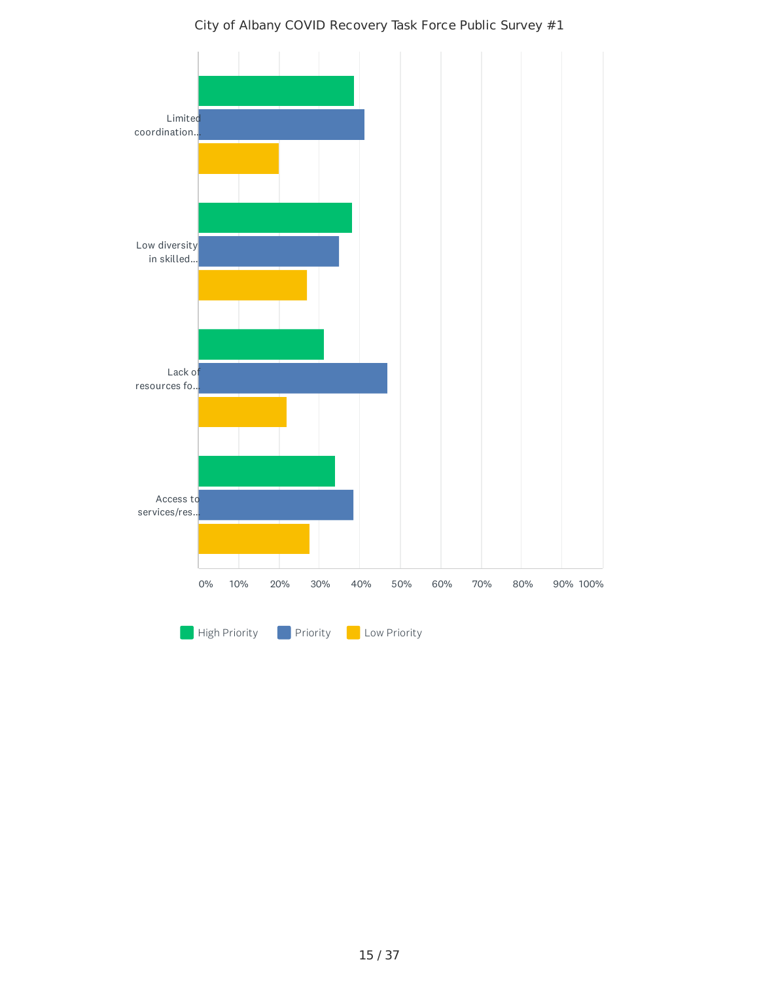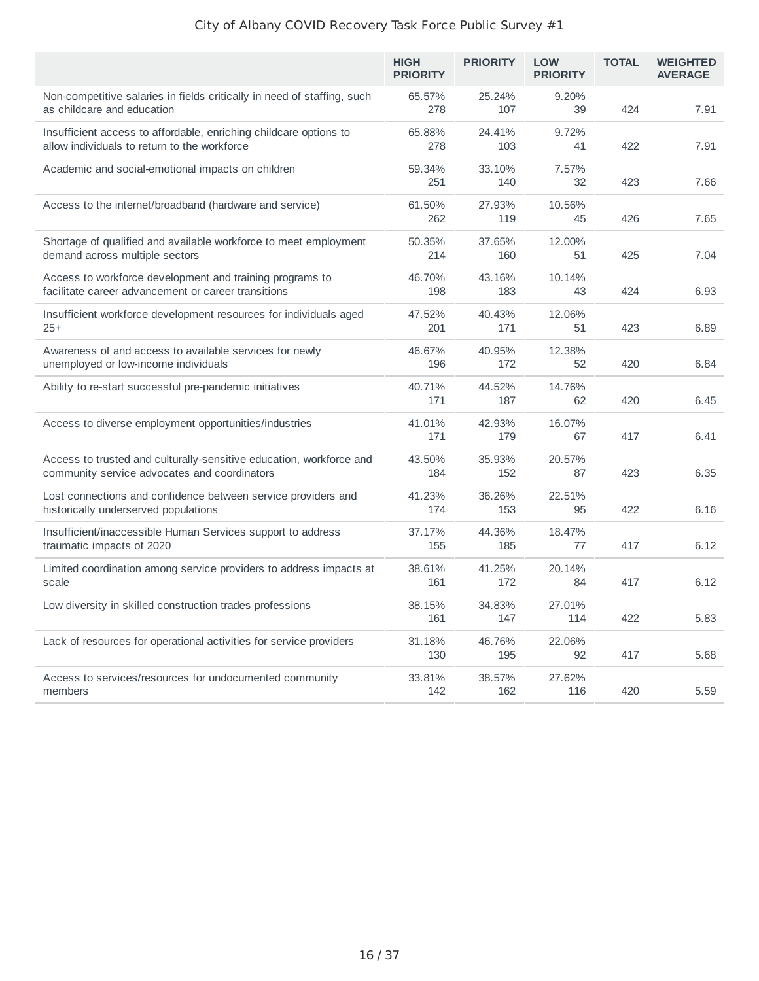|                                                                                                                     | <b>HIGH</b><br><b>PRIORITY</b> | <b>PRIORITY</b> | <b>LOW</b><br><b>PRIORITY</b> | <b>TOTAL</b> | <b>WEIGHTED</b><br><b>AVERAGE</b> |
|---------------------------------------------------------------------------------------------------------------------|--------------------------------|-----------------|-------------------------------|--------------|-----------------------------------|
| Non-competitive salaries in fields critically in need of staffing, such<br>as childcare and education               | 65.57%<br>278                  | 25.24%<br>107   | 9.20%<br>39                   | 424          | 7.91                              |
| Insufficient access to affordable, enriching childcare options to<br>allow individuals to return to the workforce   | 65.88%<br>278                  | 24.41%<br>103   | 9.72%<br>41                   | 422          | 7.91                              |
| Academic and social-emotional impacts on children                                                                   | 59.34%<br>251                  | 33.10%<br>140   | 7.57%<br>32                   | 423          | 7.66                              |
| Access to the internet/broadband (hardware and service)                                                             | 61.50%<br>262                  | 27.93%<br>119   | 10.56%<br>45                  | 426          | 7.65                              |
| Shortage of qualified and available workforce to meet employment<br>demand across multiple sectors                  | 50.35%<br>214                  | 37.65%<br>160   | 12.00%<br>51                  | 425          | 7.04                              |
| Access to workforce development and training programs to<br>facilitate career advancement or career transitions     | 46.70%<br>198                  | 43.16%<br>183   | 10.14%<br>43                  | 424          | 6.93                              |
| Insufficient workforce development resources for individuals aged<br>$25+$                                          | 47.52%<br>201                  | 40.43%<br>171   | 12.06%<br>51                  | 423          | 6.89                              |
| Awareness of and access to available services for newly<br>unemployed or low-income individuals                     | 46.67%<br>196                  | 40.95%<br>172   | 12.38%<br>52                  | 420          | 6.84                              |
| Ability to re-start successful pre-pandemic initiatives                                                             | 40.71%<br>171                  | 44.52%<br>187   | 14.76%<br>62                  | 420          | 6.45                              |
| Access to diverse employment opportunities/industries                                                               | 41.01%<br>171                  | 42.93%<br>179   | 16.07%<br>67                  | 417          | 6.41                              |
| Access to trusted and culturally-sensitive education, workforce and<br>community service advocates and coordinators | 43.50%<br>184                  | 35.93%<br>152   | 20.57%<br>87                  | 423          | 6.35                              |
| Lost connections and confidence between service providers and<br>historically underserved populations               | 41.23%<br>174                  | 36.26%<br>153   | 22.51%<br>95                  | 422          | 6.16                              |
| Insufficient/inaccessible Human Services support to address<br>traumatic impacts of 2020                            | 37.17%<br>155                  | 44.36%<br>185   | 18.47%<br>77                  | 417          | 6.12                              |
| Limited coordination among service providers to address impacts at<br>scale                                         | 38.61%<br>161                  | 41.25%<br>172   | 20.14%<br>84                  | 417          | 6.12                              |
| Low diversity in skilled construction trades professions                                                            | 38.15%<br>161                  | 34.83%<br>147   | 27.01%<br>114                 | 422          | 5.83                              |
| Lack of resources for operational activities for service providers                                                  | 31.18%<br>130                  | 46.76%<br>195   | 22.06%<br>92                  | 417          | 5.68                              |
| Access to services/resources for undocumented community<br>members                                                  | 33.81%<br>142                  | 38.57%<br>162   | 27.62%<br>116                 | 420          | 5.59                              |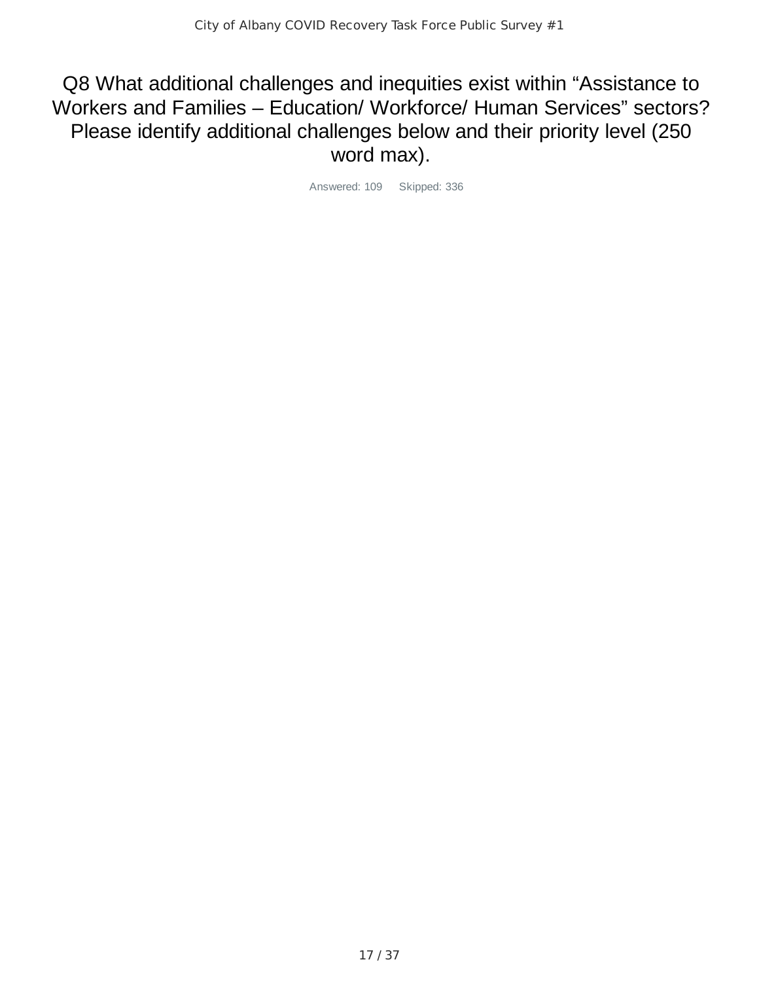Q8 What additional challenges and inequities exist within "Assistance to Workers and Families – Education/ Workforce/ Human Services" sectors? Please identify additional challenges below and their priority level (250 word max).

Answered: 109 Skipped: 336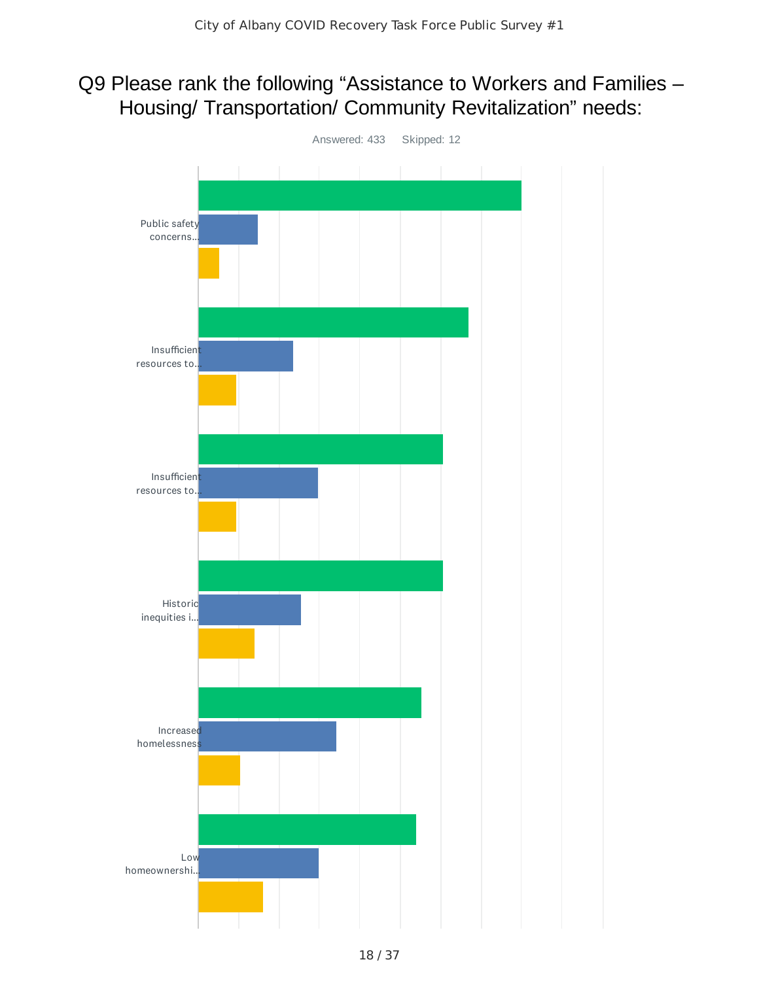## Q9 Please rank the following "Assistance to Workers and Families – Housing/ Transportation/ Community Revitalization" needs:

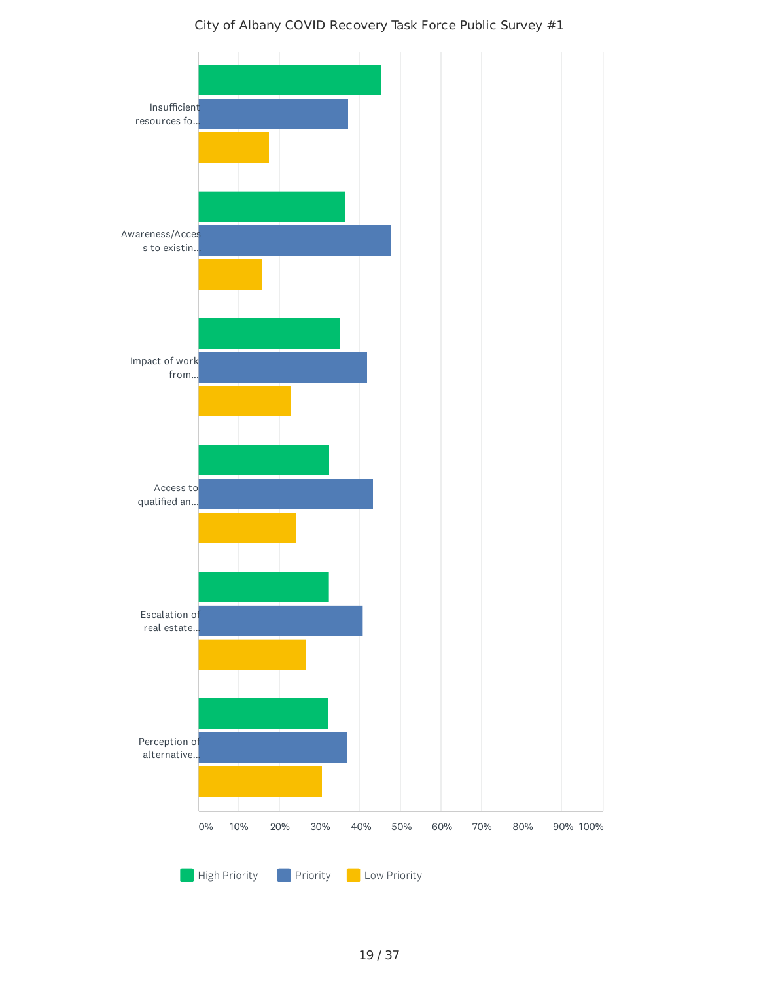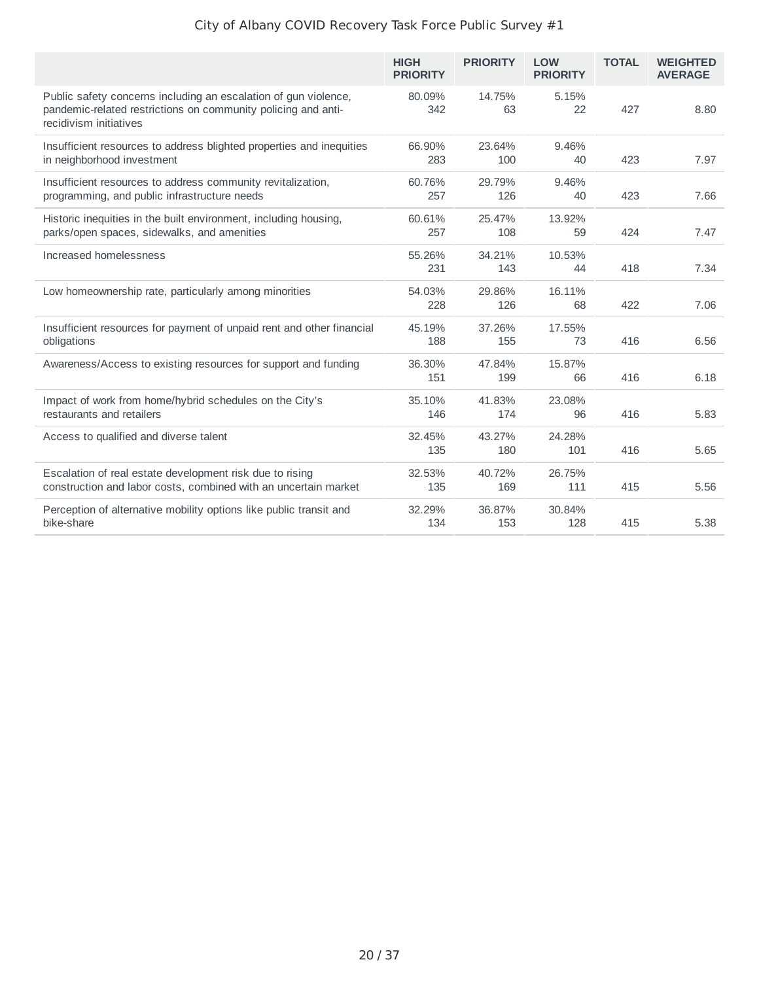|                                                                                                                                                            | <b>HIGH</b><br><b>PRIORITY</b> | <b>PRIORITY</b> | <b>LOW</b><br><b>PRIORITY</b> | <b>TOTAL</b> | <b>WEIGHTED</b><br><b>AVERAGE</b> |
|------------------------------------------------------------------------------------------------------------------------------------------------------------|--------------------------------|-----------------|-------------------------------|--------------|-----------------------------------|
| Public safety concerns including an escalation of gun violence,<br>pandemic-related restrictions on community policing and anti-<br>recidivism initiatives | 80.09%<br>342                  | 14.75%<br>63    | 5.15%<br>22                   | 427          | 8.80                              |
| Insufficient resources to address blighted properties and inequities<br>in neighborhood investment                                                         | 66.90%<br>283                  | 23.64%<br>100   | 9.46%<br>40                   | 423          | 7.97                              |
| Insufficient resources to address community revitalization,<br>programming, and public infrastructure needs                                                | 60.76%<br>257                  | 29.79%<br>126   | 9.46%<br>40                   | 423          | 7.66                              |
| Historic inequities in the built environment, including housing,<br>parks/open spaces, sidewalks, and amenities                                            | 60.61%<br>257                  | 25.47%<br>108   | 13.92%<br>59                  | 424          | 7.47                              |
| Increased homelessness                                                                                                                                     | 55.26%<br>231                  | 34.21%<br>143   | 10.53%<br>44                  | 418          | 7.34                              |
| Low homeownership rate, particularly among minorities                                                                                                      | 54.03%<br>228                  | 29.86%<br>126   | 16.11%<br>68                  | 422          | 7.06                              |
| Insufficient resources for payment of unpaid rent and other financial<br>obligations                                                                       | 45.19%<br>188                  | 37.26%<br>155   | 17.55%<br>73                  | 416          | 6.56                              |
| Awareness/Access to existing resources for support and funding                                                                                             | 36.30%<br>151                  | 47.84%<br>199   | 15.87%<br>66                  | 416          | 6.18                              |
| Impact of work from home/hybrid schedules on the City's<br>restaurants and retailers                                                                       | 35.10%<br>146                  | 41.83%<br>174   | 23.08%<br>96                  | 416          | 5.83                              |
| Access to qualified and diverse talent                                                                                                                     | 32.45%<br>135                  | 43.27%<br>180   | 24.28%<br>101                 | 416          | 5.65                              |
| Escalation of real estate development risk due to rising<br>construction and labor costs, combined with an uncertain market                                | 32.53%<br>135                  | 40.72%<br>169   | 26.75%<br>111                 | 415          | 5.56                              |
| Perception of alternative mobility options like public transit and<br>bike-share                                                                           | 32.29%<br>134                  | 36.87%<br>153   | 30.84%<br>128                 | 415          | 5.38                              |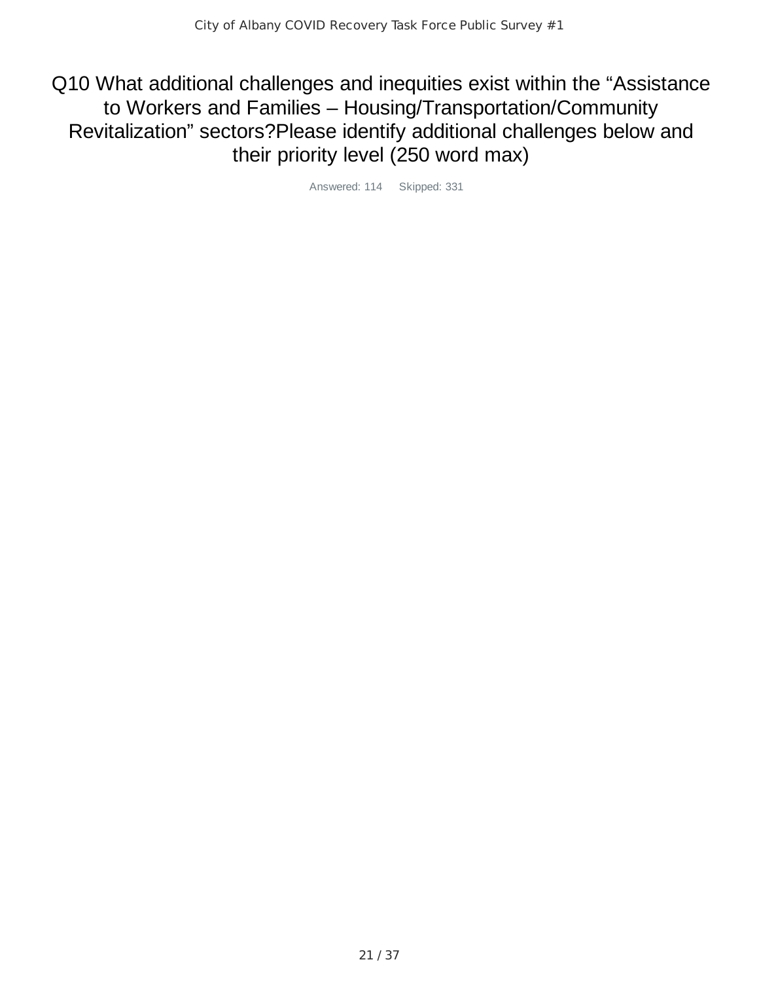Q10 What additional challenges and inequities exist within the "Assistance to Workers and Families – Housing/Transportation/Community Revitalization" sectors?Please identify additional challenges below and their priority level (250 word max)

Answered: 114 Skipped: 331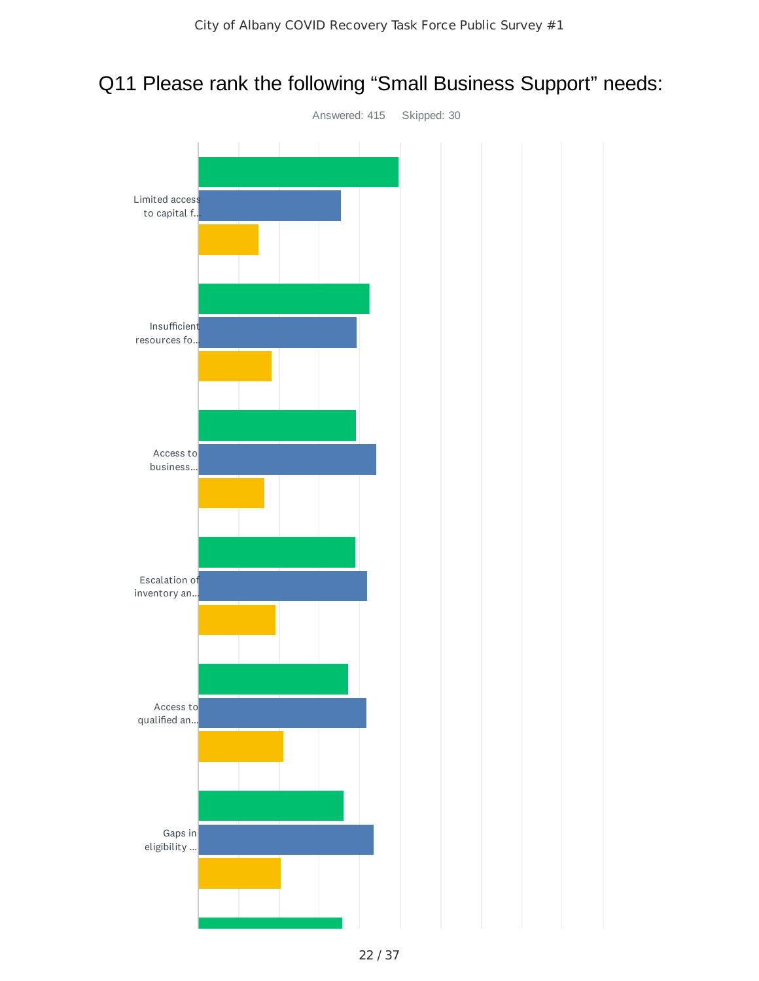## Q11 Please rank the following "Small Business Support" needs:

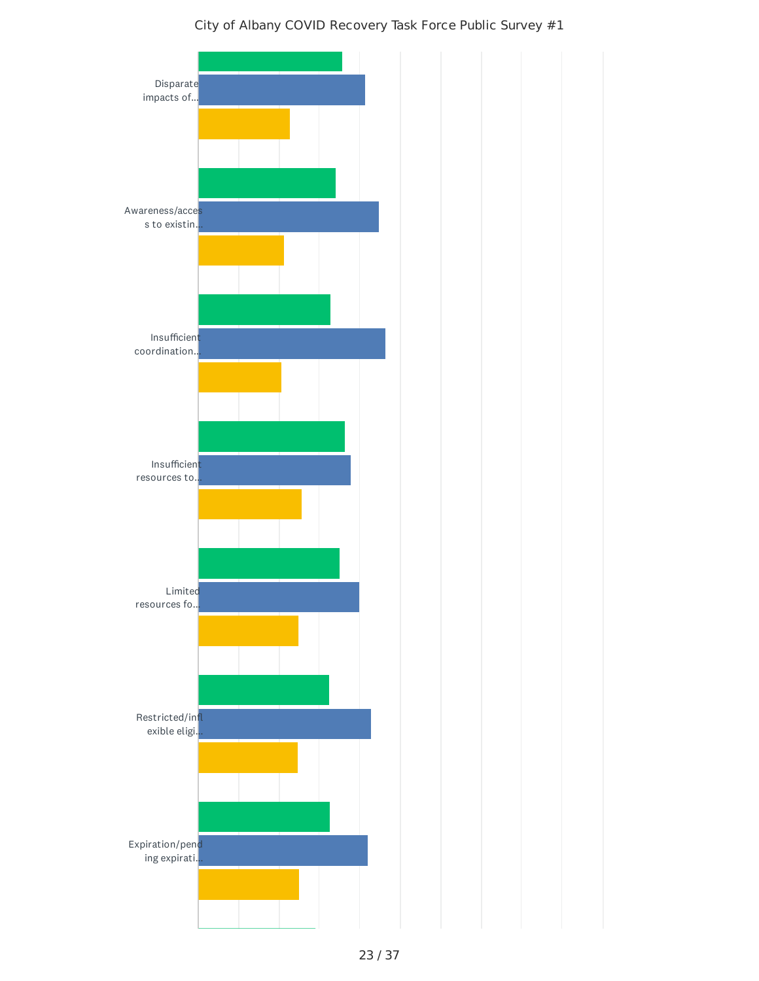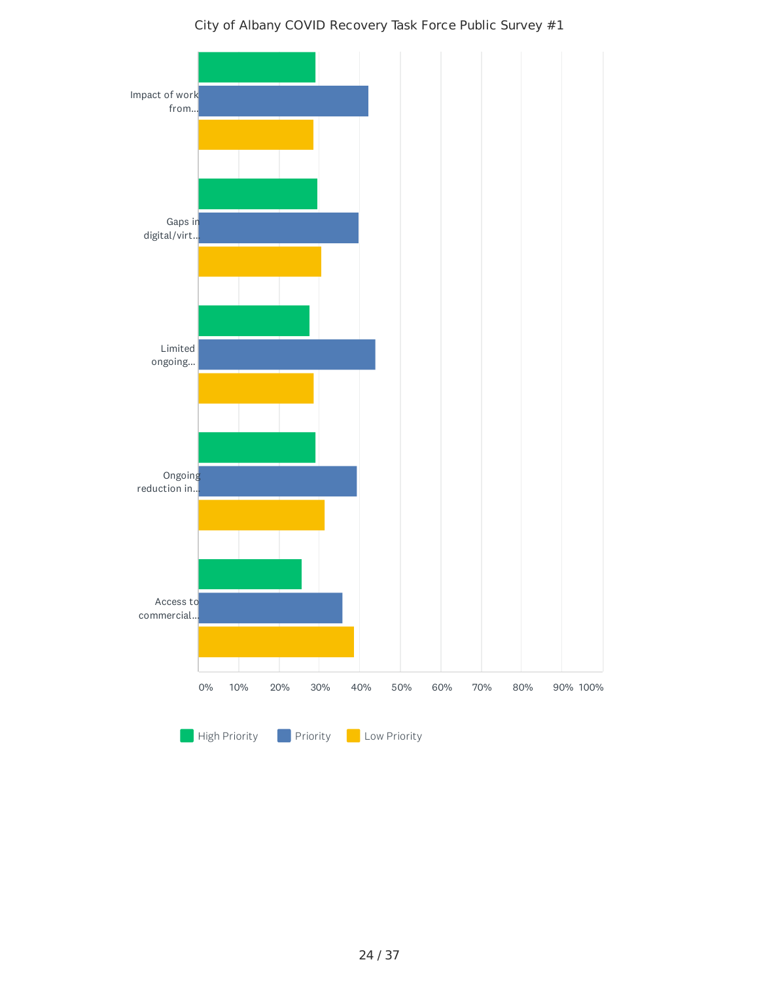# Impact of work from... Gaps in digital/virt... Limited ongoing... Ongoing reduction in... Access to commercial. 0% 10% 20% 30% 40% 50% 60% 70% 80% 90% 100%

#### City of Albany COVID Recovery Task Force Public Survey #1

High Priority **Priority Priority**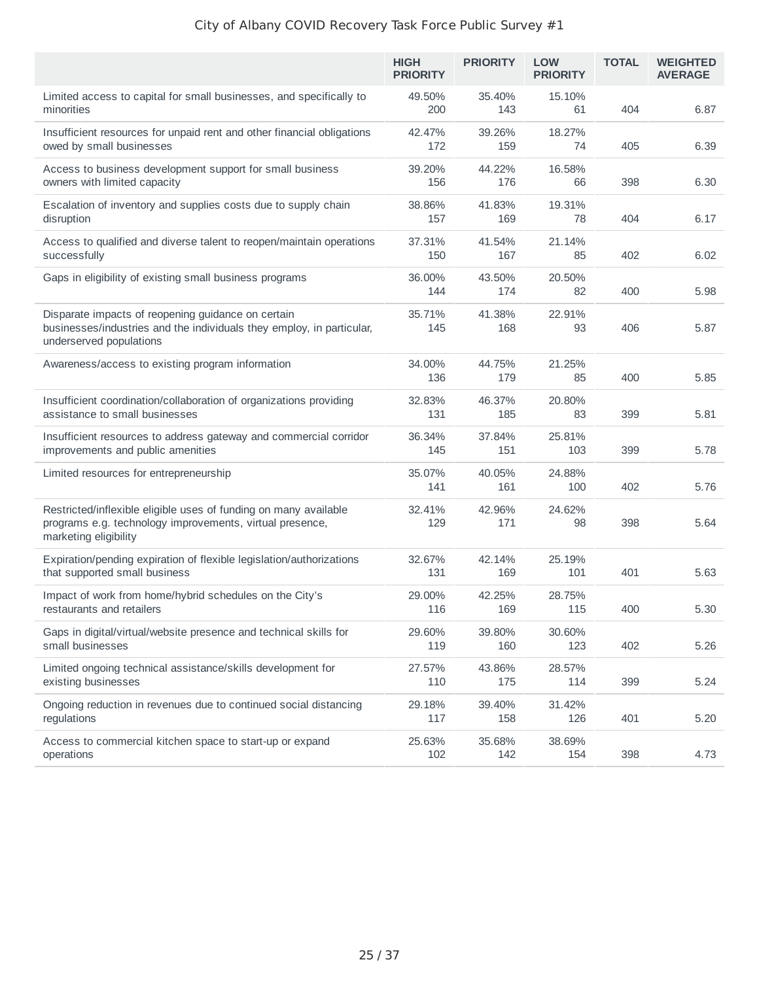|                                                                                                                                                        | <b>HIGH</b><br><b>PRIORITY</b> | <b>PRIORITY</b> | <b>LOW</b><br><b>PRIORITY</b> | <b>TOTAL</b> | <b>WEIGHTED</b><br><b>AVERAGE</b> |
|--------------------------------------------------------------------------------------------------------------------------------------------------------|--------------------------------|-----------------|-------------------------------|--------------|-----------------------------------|
| Limited access to capital for small businesses, and specifically to<br>minorities                                                                      | 49.50%<br>200                  | 35.40%<br>143   | 15.10%<br>61                  | 404          | 6.87                              |
| Insufficient resources for unpaid rent and other financial obligations<br>owed by small businesses                                                     | 42.47%<br>172                  | 39.26%<br>159   | 18.27%<br>74                  | 405          | 6.39                              |
| Access to business development support for small business<br>owners with limited capacity                                                              | 39.20%<br>156                  | 44.22%<br>176   | 16.58%<br>66                  | 398          | 6.30                              |
| Escalation of inventory and supplies costs due to supply chain<br>disruption                                                                           | 38.86%<br>157                  | 41.83%<br>169   | 19.31%<br>78                  | 404          | 6.17                              |
| Access to qualified and diverse talent to reopen/maintain operations<br>successfully                                                                   | 37.31%<br>150                  | 41.54%<br>167   | 21.14%<br>85                  | 402          | 6.02                              |
| Gaps in eligibility of existing small business programs                                                                                                | 36.00%<br>144                  | 43.50%<br>174   | 20.50%<br>82                  | 400          | 5.98                              |
| Disparate impacts of reopening guidance on certain<br>businesses/industries and the individuals they employ, in particular,<br>underserved populations | 35.71%<br>145                  | 41.38%<br>168   | 22.91%<br>93                  | 406          | 5.87                              |
| Awareness/access to existing program information                                                                                                       | 34.00%<br>136                  | 44.75%<br>179   | 21.25%<br>85                  | 400          | 5.85                              |
| Insufficient coordination/collaboration of organizations providing<br>assistance to small businesses                                                   | 32.83%<br>131                  | 46.37%<br>185   | 20.80%<br>83                  | 399          | 5.81                              |
| Insufficient resources to address gateway and commercial corridor<br>improvements and public amenities                                                 | 36.34%<br>145                  | 37.84%<br>151   | 25.81%<br>103                 | 399          | 5.78                              |
| Limited resources for entrepreneurship                                                                                                                 | 35.07%<br>141                  | 40.05%<br>161   | 24.88%<br>100                 | 402          | 5.76                              |
| Restricted/inflexible eligible uses of funding on many available<br>programs e.g. technology improvements, virtual presence,<br>marketing eligibility  | 32.41%<br>129                  | 42.96%<br>171   | 24.62%<br>98                  | 398          | 5.64                              |
| Expiration/pending expiration of flexible legislation/authorizations<br>that supported small business                                                  | 32.67%<br>131                  | 42.14%<br>169   | 25.19%<br>101                 | 401          | 5.63                              |
| Impact of work from home/hybrid schedules on the City's<br>restaurants and retailers                                                                   | 29.00%<br>116                  | 42.25%<br>169   | 28.75%<br>115                 | 400          | 5.30                              |
| Gaps in digital/virtual/website presence and technical skills for<br>small businesses                                                                  | 29.60%<br>119                  | 39.80%<br>160   | 30.60%<br>123                 | 402          | 5.26                              |
| Limited ongoing technical assistance/skills development for<br>existing businesses                                                                     | 27.57%<br>110                  | 43.86%<br>175   | 28.57%<br>114                 | 399          | 5.24                              |
| Ongoing reduction in revenues due to continued social distancing<br>regulations                                                                        | 29.18%<br>117                  | 39.40%<br>158   | 31.42%<br>126                 | 401          | 5.20                              |
| Access to commercial kitchen space to start-up or expand<br>operations                                                                                 | 25.63%<br>102                  | 35.68%<br>142   | 38.69%<br>154                 | 398          | 4.73                              |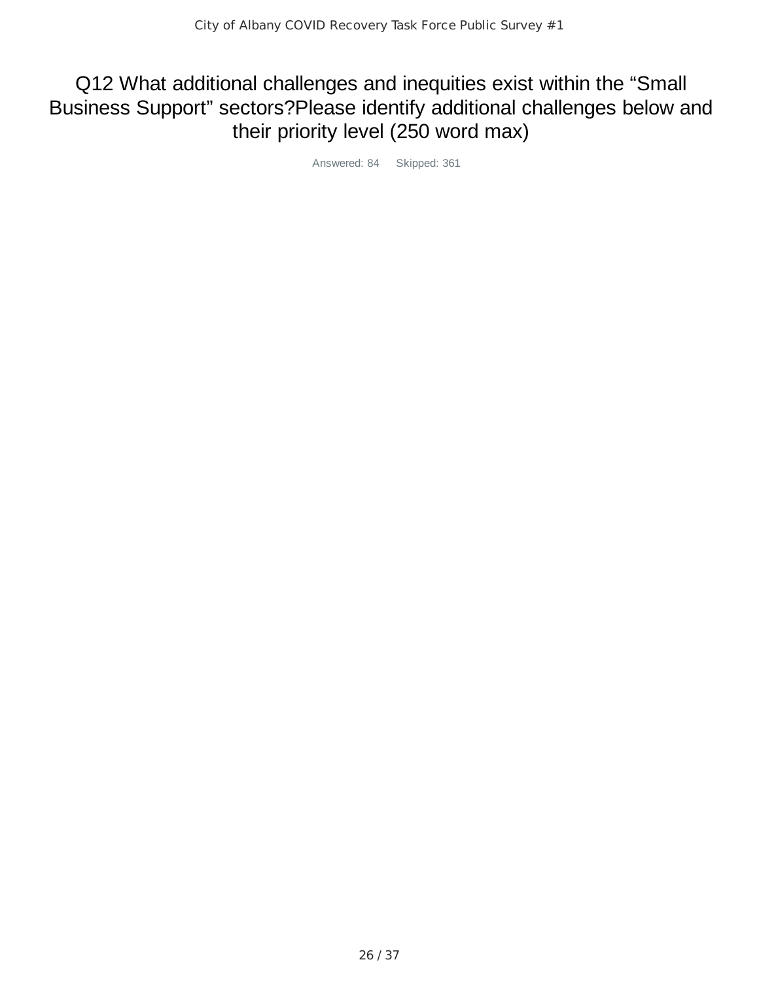## Q12 What additional challenges and inequities exist within the "Small Business Support" sectors?Please identify additional challenges below and their priority level (250 word max)

Answered: 84 Skipped: 361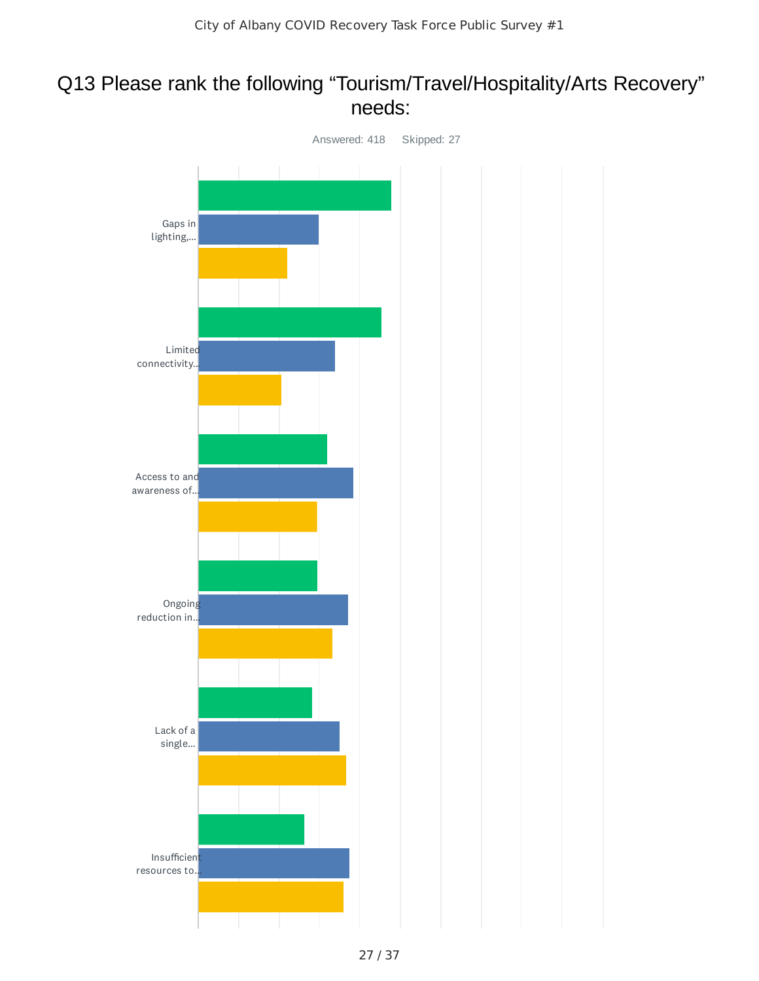## Q13 Please rank the following "Tourism/Travel/Hospitality/Arts Recovery" needs:

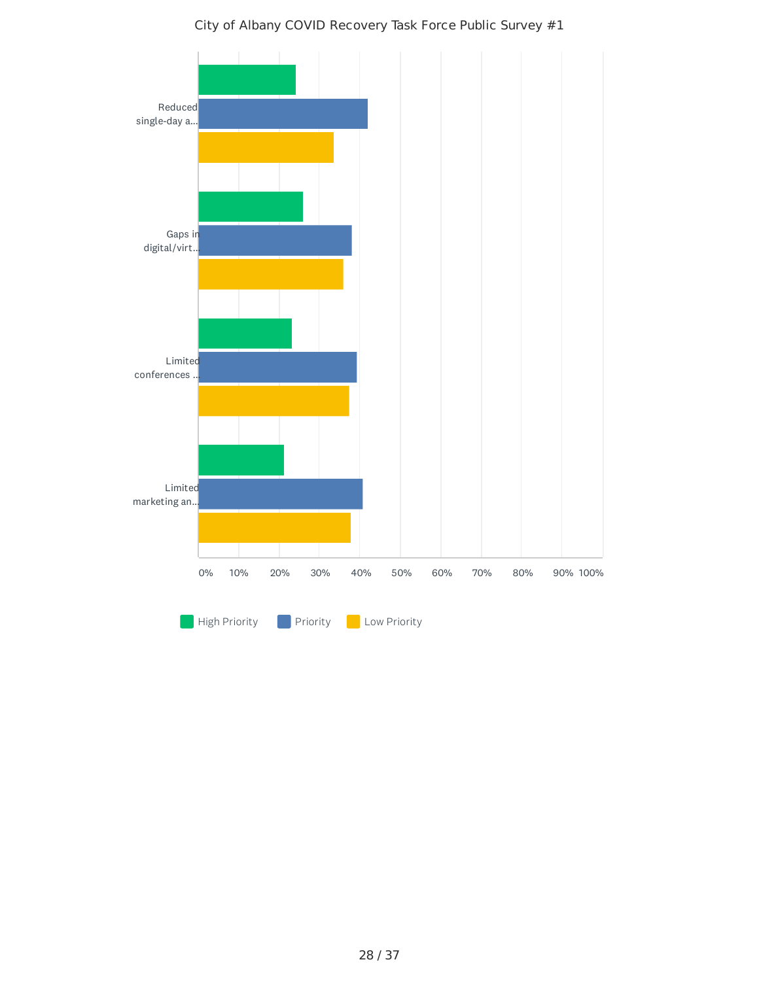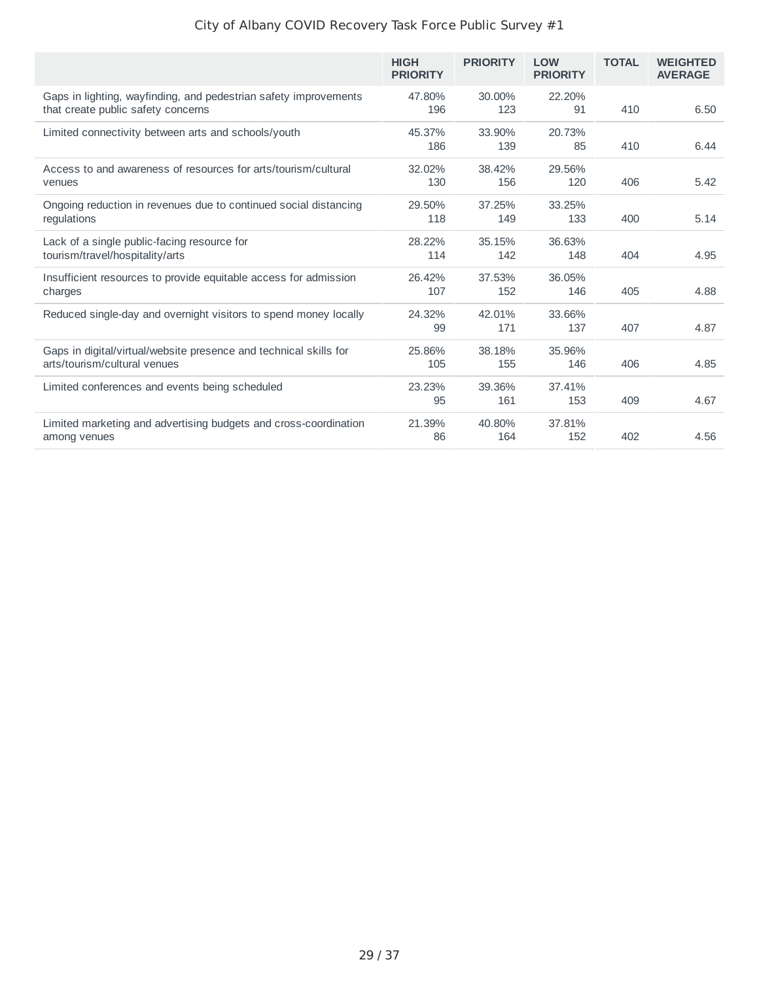|                                                                                                        | <b>HIGH</b><br><b>PRIORITY</b> | <b>PRIORITY</b> | <b>LOW</b><br><b>PRIORITY</b> | <b>TOTAL</b> | <b>WEIGHTED</b><br><b>AVERAGE</b> |
|--------------------------------------------------------------------------------------------------------|--------------------------------|-----------------|-------------------------------|--------------|-----------------------------------|
| Gaps in lighting, wayfinding, and pedestrian safety improvements<br>that create public safety concerns | 47.80%<br>196                  | 30.00%<br>123   | 22.20%<br>91                  | 410          | 6.50                              |
| Limited connectivity between arts and schools/youth                                                    | 45.37%<br>186                  | 33.90%<br>139   | 20.73%<br>85                  | 410          | 6.44                              |
| Access to and awareness of resources for arts/tourism/cultural<br>venues                               | 32.02%<br>130                  | 38.42%<br>156   | 29.56%<br>120                 | 406          | 5.42                              |
| Ongoing reduction in revenues due to continued social distancing<br>regulations                        | 29.50%<br>118                  | 37.25%<br>149   | 33.25%<br>133                 | 400          | 5.14                              |
| Lack of a single public-facing resource for<br>tourism/travel/hospitality/arts                         | 28.22%<br>114                  | 35.15%<br>142   | 36.63%<br>148                 | 404          | 4.95                              |
| Insufficient resources to provide equitable access for admission<br>charges                            | 26.42%<br>107                  | 37.53%<br>152   | 36.05%<br>146                 | 405          | 4.88                              |
| Reduced single-day and overnight visitors to spend money locally                                       | 24.32%<br>99                   | 42.01%<br>171   | 33.66%<br>137                 | 407          | 4.87                              |
| Gaps in digital/virtual/website presence and technical skills for<br>arts/tourism/cultural venues      | 25.86%<br>105                  | 38.18%<br>155   | 35.96%<br>146                 | 406          | 4.85                              |
| Limited conferences and events being scheduled                                                         | 23.23%<br>95                   | 39.36%<br>161   | 37.41%<br>153                 | 409          | 4.67                              |
| Limited marketing and advertising budgets and cross-coordination<br>among venues                       | 21.39%<br>86                   | 40.80%<br>164   | 37.81%<br>152                 | 402          | 4.56                              |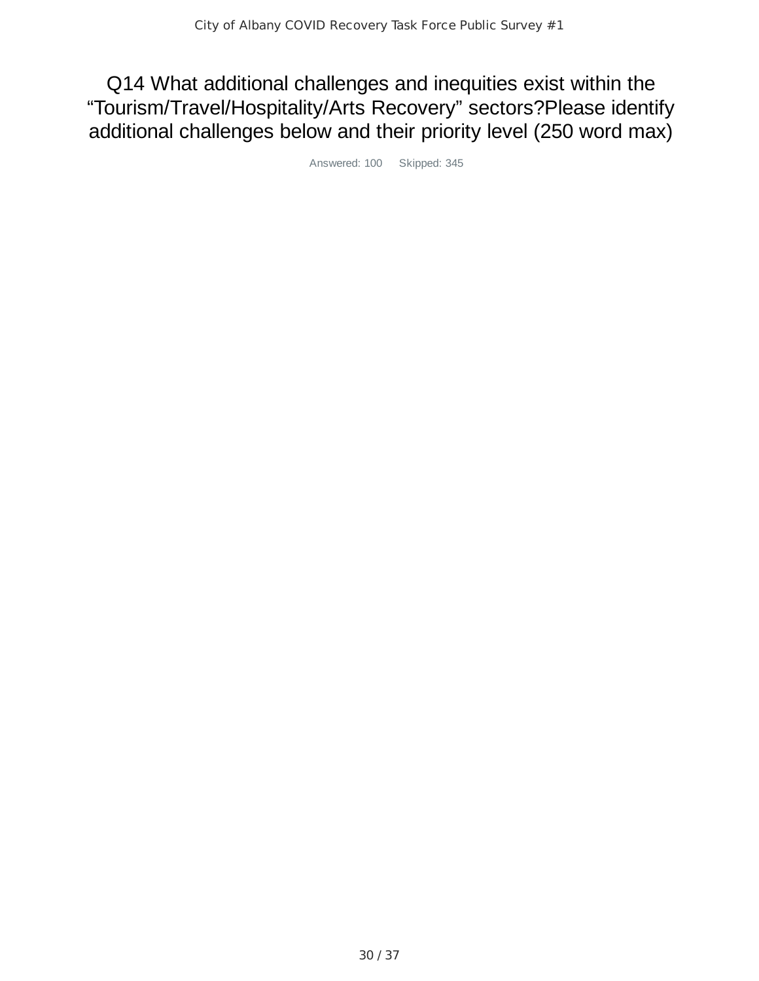Q14 What additional challenges and inequities exist within the "Tourism/Travel/Hospitality/Arts Recovery" sectors?Please identify additional challenges below and their priority level (250 word max)

Answered: 100 Skipped: 345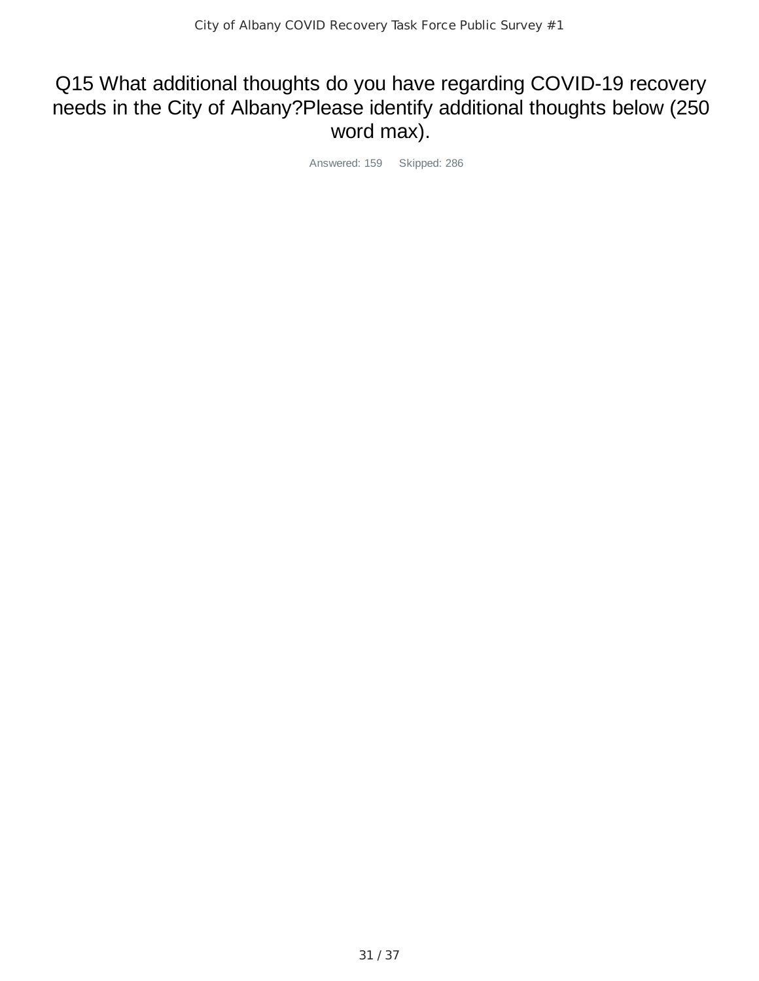## Q15 What additional thoughts do you have regarding COVID-19 recovery needs in the City of Albany?Please identify additional thoughts below (250 word max).

Answered: 159 Skipped: 286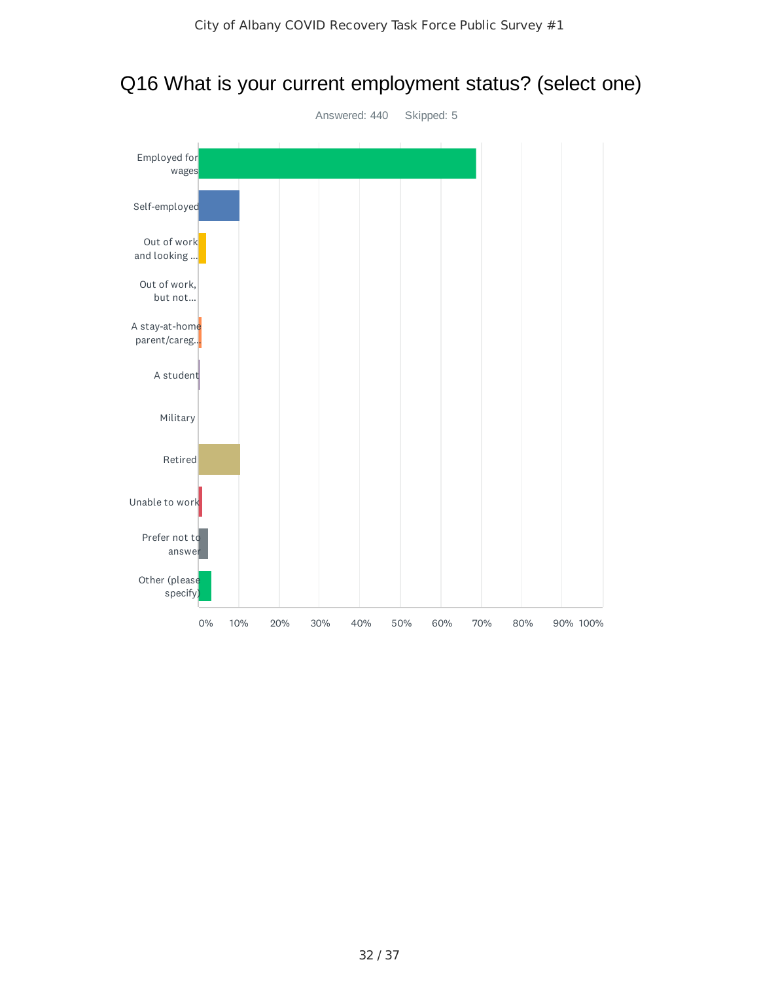

## Q16 What is your current employment status? (select one)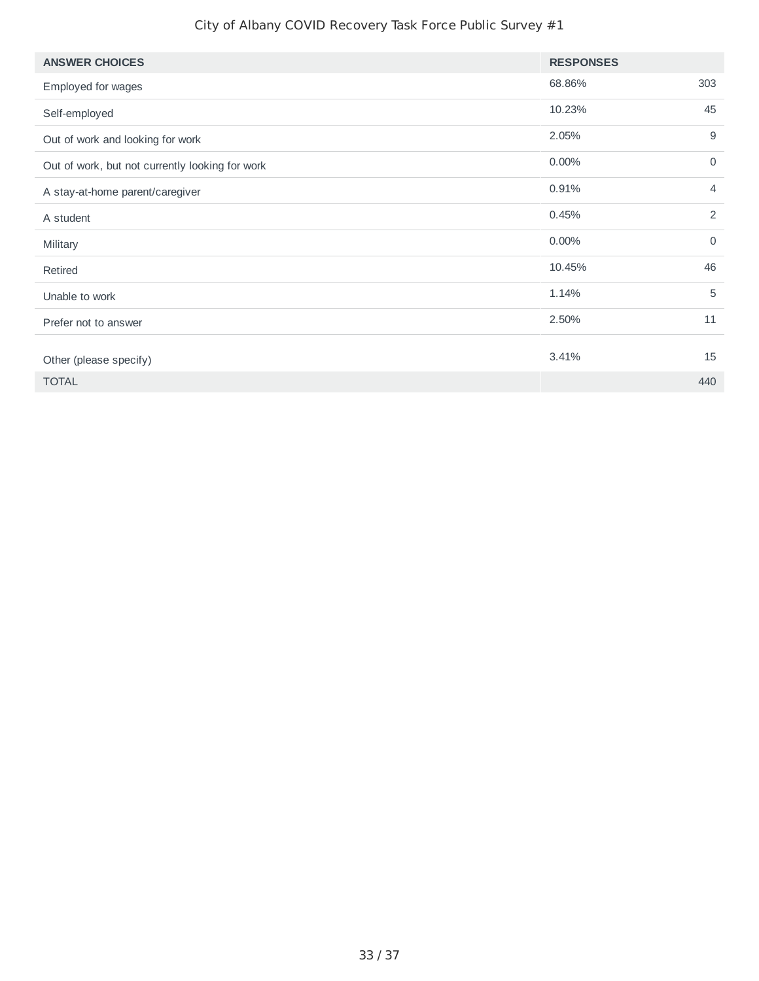| <b>ANSWER CHOICES</b>                           | <b>RESPONSES</b> |                |
|-------------------------------------------------|------------------|----------------|
| Employed for wages                              | 68.86%           | 303            |
| Self-employed                                   | 10.23%           | 45             |
| Out of work and looking for work                | 2.05%            | 9              |
| Out of work, but not currently looking for work | 0.00%            | $\mathbf 0$    |
| A stay-at-home parent/caregiver                 | 0.91%            | $\overline{4}$ |
| A student                                       | 0.45%            | 2              |
| Military                                        | 0.00%            | $\mathbf 0$    |
| Retired                                         | 10.45%           | 46             |
| Unable to work                                  | 1.14%            | 5              |
| Prefer not to answer                            | 2.50%            | 11             |
| Other (please specify)                          | 3.41%            | 15             |
|                                                 |                  |                |
| <b>TOTAL</b>                                    |                  | 440            |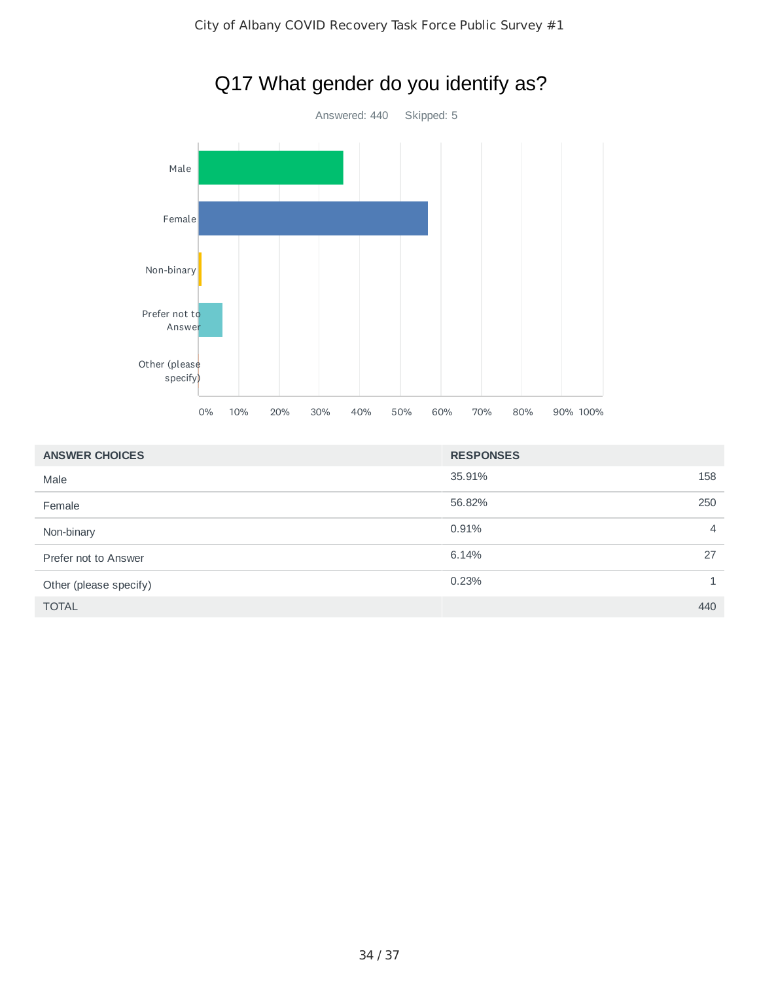

# Q17 What gender do you identify as?

| <b>ANSWER CHOICES</b>  | <b>RESPONSES</b>        |
|------------------------|-------------------------|
| Male                   | 35.91%<br>158           |
| Female                 | 56.82%<br>250           |
| Non-binary             | 0.91%<br>$\overline{4}$ |
| Prefer not to Answer   | 6.14%<br>27             |
| Other (please specify) | 0.23%                   |
| <b>TOTAL</b>           | 440                     |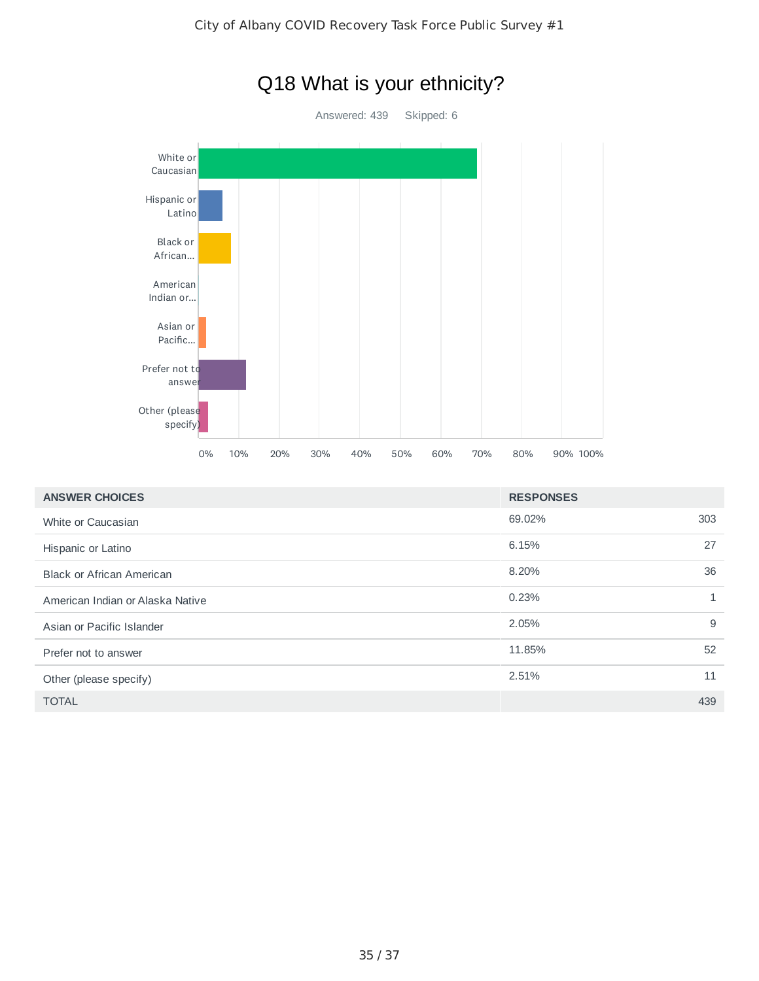

| <b>ANSWER CHOICES</b>            | <b>RESPONSES</b> |              |
|----------------------------------|------------------|--------------|
| White or Caucasian               | 69.02%           | 303          |
| Hispanic or Latino               | 6.15%            | 27           |
| <b>Black or African American</b> | 8.20%            | 36           |
| American Indian or Alaska Native | 0.23%            | $\mathbf{1}$ |
| Asian or Pacific Islander        | 2.05%            | 9            |
| Prefer not to answer             | 11.85%           | 52           |
| Other (please specify)           | 2.51%            | 11           |
| <b>TOTAL</b>                     |                  | 439          |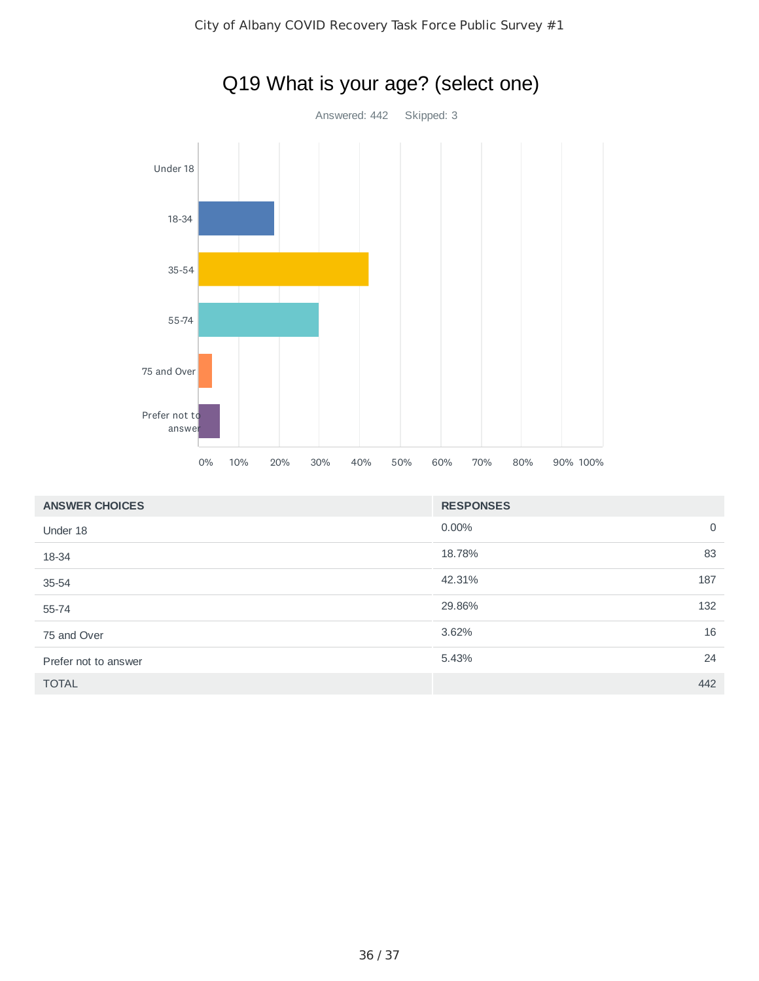

| <b>ANSWER CHOICES</b> | <b>RESPONSES</b>        |  |
|-----------------------|-------------------------|--|
| Under 18              | $0.00\%$<br>$\mathbf 0$ |  |
| 18-34                 | 18.78%<br>83            |  |
| $35 - 54$             | 42.31%<br>187           |  |
| 55-74                 | 29.86%<br>132           |  |
| 75 and Over           | 16<br>3.62%             |  |
| Prefer not to answer  | 24<br>5.43%             |  |
| <b>TOTAL</b>          | 442                     |  |